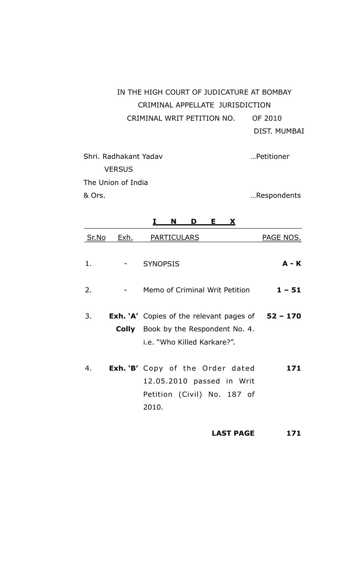# IN THE HIGH COURT OF JUDICATURE AT BOMBAY CRIMINAL APPELLATE JURISDICTION CRIMINAL WRIT PETITION NO. OF 2010 DIST. MUMBAI

Shri. Radhakant Yadav …Petitioner **VERSUS** The Union of India & Ors. …Respondents

|       |             | E.<br>N<br>D<br>X                                                                                                                       |                  |
|-------|-------------|-----------------------------------------------------------------------------------------------------------------------------------------|------------------|
| Sr.No | <u>Exh.</u> | <b>PARTICULARS</b>                                                                                                                      | <b>PAGE NOS.</b> |
| 1.    |             | <b>SYNOPSIS</b>                                                                                                                         | $A - K$          |
| 2.    |             | Memo of Criminal Writ Petition                                                                                                          | $1 - 51$         |
| 3.    |             | <b>Exh.</b> 'A' Copies of the relevant pages of $52 - 170$<br><b>Colly</b> Book by the Respondent No. 4.<br>i.e. "Who Killed Karkare?". |                  |
| 4.    |             | <b>Exh.</b> 'B' Copy of the Order dated<br>12.05.2010 passed in Writ<br>Petition (Civil) No. 187 of<br>2010.                            | 171              |

**LAST PAGE 171**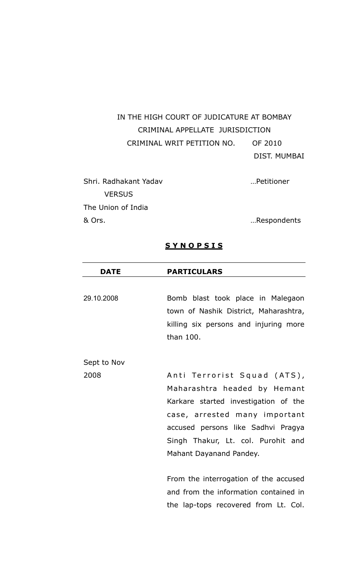IN THE HIGH COURT OF JUDICATURE AT BOMBAY CRIMINAL APPELLATE JURISDICTION CRIMINAL WRIT PETITION NO. OF 2010 DIST. MUMBAI

| Respondents |
|-------------|
|             |

### **S Y N O P S I S**

| <b>DATE</b> | <b>PARTICULARS</b>                                                                                                                                                                                                                          |
|-------------|---------------------------------------------------------------------------------------------------------------------------------------------------------------------------------------------------------------------------------------------|
|             |                                                                                                                                                                                                                                             |
| 29.10.2008  | Bomb blast took place in Malegaon<br>town of Nashik District, Maharashtra,                                                                                                                                                                  |
|             | killing six persons and injuring more<br>than 100.                                                                                                                                                                                          |
| Sept to Nov |                                                                                                                                                                                                                                             |
| 2008        | Anti Terrorist Squad (ATS),<br>Maharashtra headed by Hemant<br>Karkare started investigation of the<br>case, arrested many important<br>accused persons like Sadhvi Pragya<br>Singh Thakur, Lt. col. Purohit and<br>Mahant Dayanand Pandey. |
|             | From the interrogation of the accused<br>and from the information contained in                                                                                                                                                              |
|             | the lap-tops recovered from Lt. Col.                                                                                                                                                                                                        |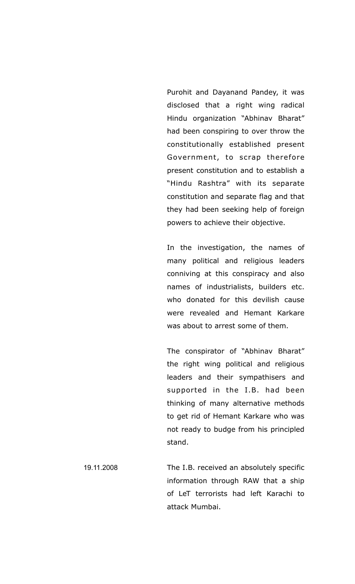Purohit and Dayanand Pandey, it was disclosed that a right wing radical Hindu organization "Abhinav Bharat" had been conspiring to over throw the constitutionally established present Government, to scrap therefore present constitution and to establish a "Hindu Rashtra" with its separate constitution and separate flag and that they had been seeking help of foreign powers to achieve their objective.

In the investigation, the names of many political and religious leaders conniving at this conspiracy and also names of industrialists, builders etc. who donated for this devilish cause were revealed and Hemant Karkare was about to arrest some of them.

The conspirator of "Abhinav Bharat" the right wing political and religious leaders and their sympathisers and supported in the I.B. had been thinking of many alternative methods to get rid of Hemant Karkare who was not ready to budge from his principled stand.

19.11.2008 The I.B. received an absolutely specific information through RAW that a ship of LeT terrorists had left Karachi to attack Mumbai.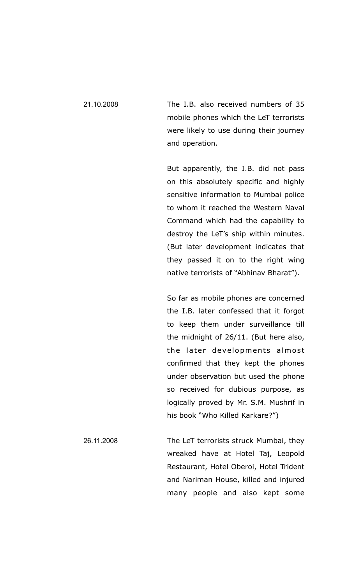21.10.2008 The I.B. also received numbers of 35 mobile phones which the LeT terrorists were likely to use during their journey and operation.

> But apparently, the I.B. did not pass on this absolutely specific and highly sensitive information to Mumbai police to whom it reached the Western Naval Command which had the capability to destroy the LeT's ship within minutes. (But later development indicates that they passed it on to the right wing native terrorists of "Abhinav Bharat").

> So far as mobile phones are concerned the I.B. later confessed that it forgot to keep them under surveillance till the midnight of 26/11. (But here also, the later developments almost confirmed that they kept the phones under observation but used the phone so received for dubious purpose, as logically proved by Mr. S.M. Mushrif in his book "Who Killed Karkare?")

26.11.2008 The LeT terrorists struck Mumbai, they wreaked have at Hotel Taj, Leopold Restaurant, Hotel Oberoi, Hotel Trident and Nariman House, killed and injured many people and also kept some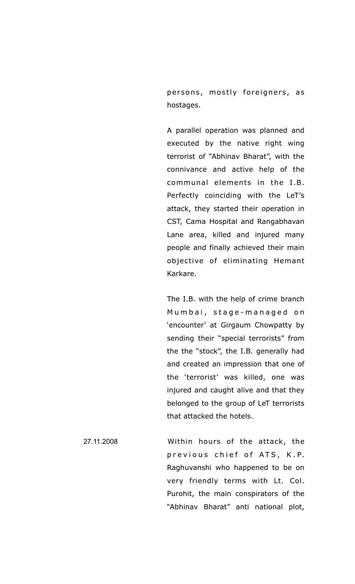persons, mostly foreigners, as hostages.

A parallel operation was planned and executed by the native right wing terrorist of "Abhinav Bharat", with the connivance and active help of the communal elements in the I.B. Perfectly coinciding with the LeT's attack, they started their operation in CST, Cama Hospital and Rangabhavan Lane area, killed and injured many people and finally achieved their main objective of eliminating Hemant Karkare.

The I.B. with the help of crime branch Mumbai, stage-managed on 'encounter' at Girgaum Chowpatty by sending their "special terrorists" from the the "stock", the I.B. generally had and created an impression that one of the 'terrorist' was killed, one was injured and caught alive and that they belonged to the group of LeT terrorists that attacked the hotels.

27.11.2008 Within hours of the attack, the previous chief of ATS, K.P. Raghuvanshi who happened to be on very friendly terms with Lt. Col. Purohit, the main conspirators of the "Abhinav Bharat" anti national plot,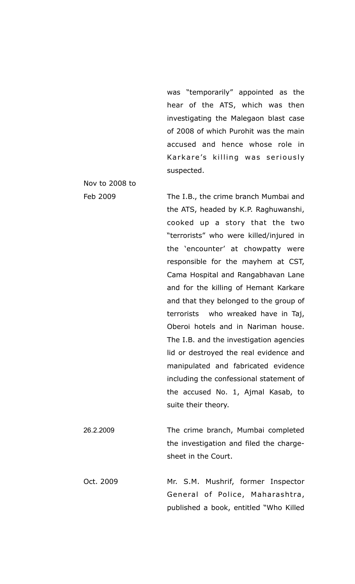was "temporarily" appointed as the hear of the ATS, which was then investigating the Malegaon blast case of 2008 of which Purohit was the main accused and hence whose role in Karkare's killing was seriously suspected.

Feb 2009 The I.B., the crime branch Mumbai and the ATS, headed by K.P. Raghuwanshi, cooked up a story that the two "terrorists" who were killed/injured in the 'encounter' at chowpatty were responsible for the mayhem at CST, Cama Hospital and Rangabhavan Lane and for the killing of Hemant Karkare and that they belonged to the group of terrorists who wreaked have in Taj, Oberoi hotels and in Nariman house. The I.B. and the investigation agencies lid or destroyed the real evidence and manipulated and fabricated evidence including the confessional statement of the accused No. 1, Ajmal Kasab, to suite their theory. 26.2.2009 The crime branch, Mumbai completed the investigation and filed the charge-

Nov to 2008 to

Oct. 2009 Mr. S.M. Mushrif, former Inspector General of Police, Maharashtra, published a book, entitled "Who Killed

sheet in the Court.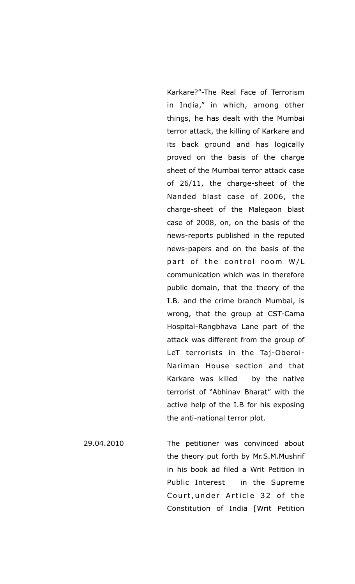Karkare?"-The Real Face of Terrorism in India," in which, among other things, he has dealt with the Mumbai terror attack, the killing of Karkare and its back ground and has logically proved on the basis of the charge sheet of the Mumbai terror attack case of 26/11, the charge-sheet of the Nanded blast case of 2006, the charge-sheet of the Malegaon blast case of 2008, on, on the basis of the news-reports published in the reputed news-papers and on the basis of the part of the control room  $W/L$ communication which was in therefore public domain, that the theory of the I.B. and the crime branch Mumbai, is wrong, that the group at CST-Cama Hospital-Rangbhava Lane part of the attack was different from the group of LeT terrorists in the Taj-Oberoi-Nariman House section and that Karkare was killed by the native terrorist of "Abhinav Bharat" with the active help of the I.B for his exposing the anti-national terror plot.

29.04.2010 The petitioner was convinced about the theory put forth by Mr.S.M.Mushrif in his book ad filed a Writ Petition in Public Interest in the Supreme Court, under Article 32 of the Constitution of India [Writ Petition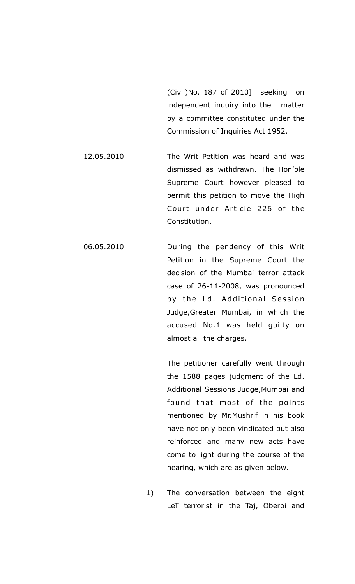(Civil)No. 187 of 2010] seeking on independent inquiry into the matter by a committee constituted under the Commission of Inquiries Act 1952.

- 12.05.2010 The Writ Petition was heard and was dismissed as withdrawn. The Hon'ble Supreme Court however pleased to permit this petition to move the High Court under Article 226 of the Constitution.
- 06.05.2010 During the pendency of this Writ Petition in the Supreme Court the decision of the Mumbai terror attack case of 26-11-2008, was pronounced by the Ld. Additional Session Judge,Greater Mumbai, in which the accused No.1 was held guilty on almost all the charges.

 The petitioner carefully went through the 1588 pages judgment of the Ld. Additional Sessions Judge,Mumbai and found that most of the points mentioned by Mr.Mushrif in his book have not only been vindicated but also reinforced and many new acts have come to light during the course of the hearing, which are as given below.

1) The conversation between the eight LeT terrorist in the Taj, Oberoi and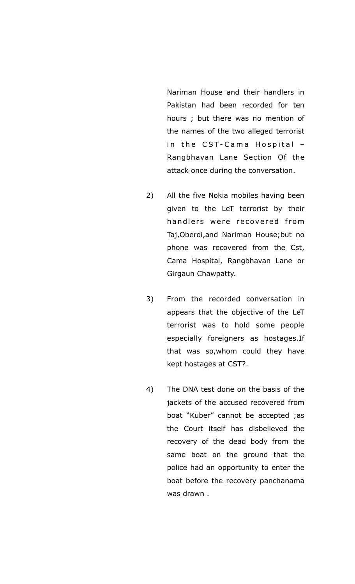Nariman House and their handlers in Pakistan had been recorded for ten hours ; but there was no mention of the names of the two alleged terrorist in the CST-Cama Hospital -Rangbhavan Lane Section Of the attack once during the conversation.

- 2) All the five Nokia mobiles having been given to the LeT terrorist by their handlers were recovered from Taj,Oberoi,and Nariman House;but no phone was recovered from the Cst, Cama Hospital, Rangbhavan Lane or Girgaun Chawpatty.
- 3) From the recorded conversation in appears that the objective of the LeT terrorist was to hold some people especially foreigners as hostages.If that was so,whom could they have kept hostages at CST?.
- 4) The DNA test done on the basis of the jackets of the accused recovered from boat "Kuber" cannot be accepted ;as the Court itself has disbelieved the recovery of the dead body from the same boat on the ground that the police had an opportunity to enter the boat before the recovery panchanama was drawn .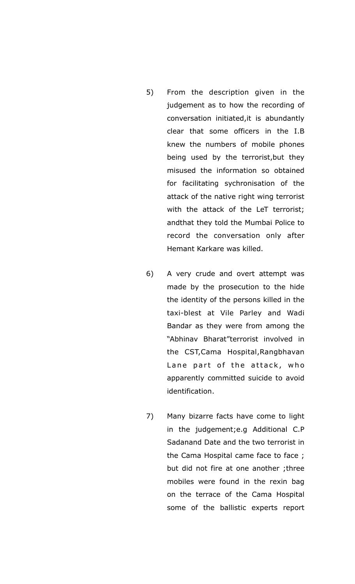- 5) From the description given in the judgement as to how the recording of conversation initiated,it is abundantly clear that some officers in the I.B knew the numbers of mobile phones being used by the terrorist,but they misused the information so obtained for facilitating sychronisation of the attack of the native right wing terrorist with the attack of the LeT terrorist; andthat they told the Mumbai Police to record the conversation only after Hemant Karkare was killed.
- 6) A very crude and overt attempt was made by the prosecution to the hide the identity of the persons killed in the taxi-blest at Vile Parley and Wadi Bandar as they were from among the "Abhinav Bharat"terrorist involved in the CST,Cama Hospital,Rangbhavan Lane part of the attack, who apparently committed suicide to avoid identification.
- 7) Many bizarre facts have come to light in the judgement;e.g Additional C.P Sadanand Date and the two terrorist in the Cama Hospital came face to face ; but did not fire at one another ;three mobiles were found in the rexin bag on the terrace of the Cama Hospital some of the ballistic experts report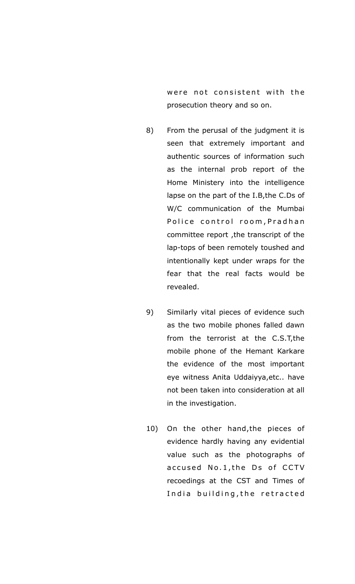were not consistent with the prosecution theory and so on.

- 8) From the perusal of the judgment it is seen that extremely important and authentic sources of information such as the internal prob report of the Home Ministery into the intelligence lapse on the part of the I.B,the C.Ds of W/C communication of the Mumbai Police control room, Pradhan committee report ,the transcript of the lap-tops of been remotely toushed and intentionally kept under wraps for the fear that the real facts would be revealed.
- 9) Similarly vital pieces of evidence such as the two mobile phones falled dawn from the terrorist at the C.S.T,the mobile phone of the Hemant Karkare the evidence of the most important eye witness Anita Uddaiyya,etc.. have not been taken into consideration at all in the investigation.
- 10) On the other hand,the pieces of evidence hardly having any evidential value such as the photographs of accused No.1, the Ds of CCTV recoedings at the CST and Times of India building, the retracted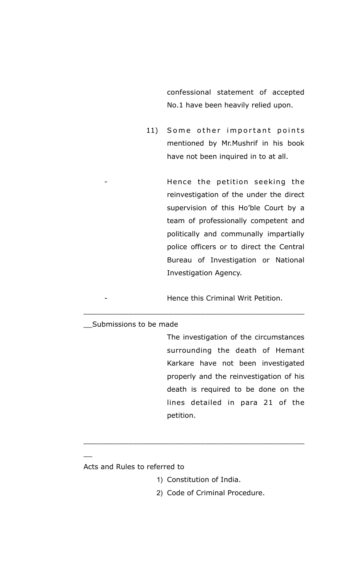confessional statement of accepted No.1 have been heavily relied upon.

11) Some other important points mentioned by Mr.Mushrif in his book have not been inquired in to at all.

> Hence the petition seeking the reinvestigation of the under the direct supervision of this Ho'ble Court by a team of professionally competent and politically and communally impartially police officers or to direct the Central Bureau of Investigation or National Investigation Agency.

Hence this Criminal Writ Petition.

\_\_\_\_\_\_\_\_\_\_\_\_\_\_\_\_\_\_\_\_\_\_\_\_\_\_\_\_\_\_\_\_\_\_\_\_\_\_\_\_\_\_\_\_\_\_\_\_\_

#### \_\_Submissions to be made

The investigation of the circumstances surrounding the death of Hemant Karkare have not been investigated properly and the reinvestigation of his death is required to be done on the lines detailed in para 21 of the petition.

#### Acts and Rules to referred to

 $\overline{\phantom{a}}$ 

1) Constitution of India.

\_\_\_\_\_\_\_\_\_\_\_\_\_\_\_\_\_\_\_\_\_\_\_\_\_\_\_\_\_\_\_\_\_\_\_\_\_\_\_\_\_\_\_\_\_\_\_\_\_

2) Code of Criminal Procedure.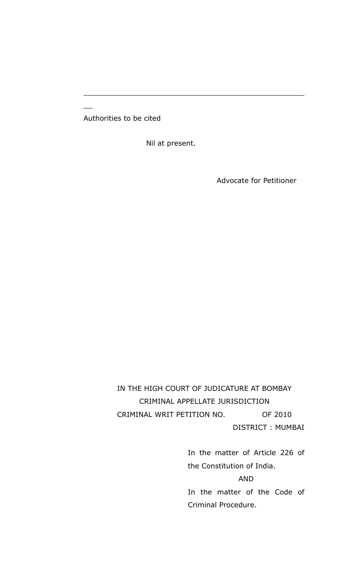Authorities to be cited

 $\overline{\phantom{a}}$ 

Nil at present.

\_\_\_\_\_\_\_\_\_\_\_\_\_\_\_\_\_\_\_\_\_\_\_\_\_\_\_\_\_\_\_\_\_\_\_\_\_\_\_\_\_\_\_\_\_\_\_\_\_

Advocate for Petitioner

IN THE HIGH COURT OF JUDICATURE AT BOMBAY CRIMINAL APPELLATE JURISDICTION CRIMINAL WRIT PETITION NO. OF 2010 DISTRICT : MUMBAI

> In the matter of Article 226 of the Constitution of India.

> > AND

In the matter of the Code of Criminal Procedure.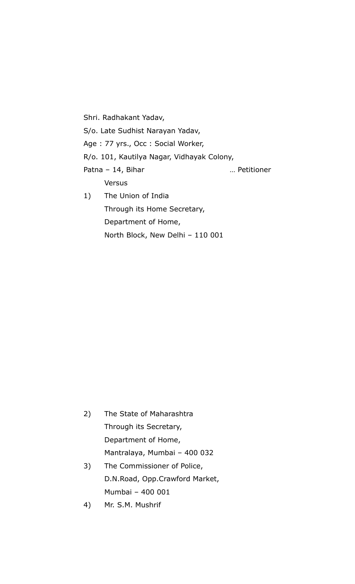Shri. Radhakant Yadav, S/o. Late Sudhist Narayan Yadav, Age : 77 yrs., Occ : Social Worker, R/o. 101, Kautilya Nagar, Vidhayak Colony, Patna – 14, Bihar music metal meridioner metal extension and many metal metal metal metal of the Patrician metal Versus 1) The Union of India Through its Home Secretary, Department of Home,

North Block, New Delhi – 110 001

| 2) | The State of Maharashtra       |  |  |
|----|--------------------------------|--|--|
|    | Through its Secretary,         |  |  |
|    | Department of Home,            |  |  |
|    | Mantralaya, Mumbai - 400 032   |  |  |
| 3) | The Commissioner of Police,    |  |  |
|    | D.N.Road, Opp.Crawford Market, |  |  |

Mumbai – 400 001 4) Mr. S.M. Mushrif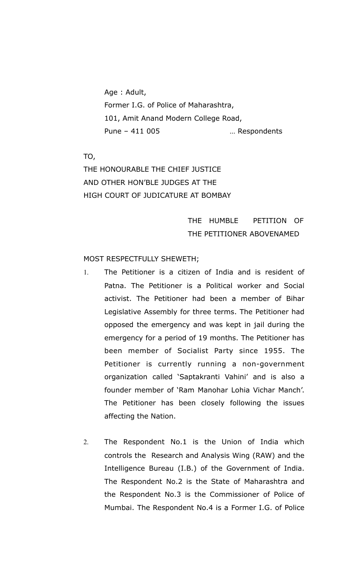Age : Adult, Former I.G. of Police of Maharashtra, 101, Amit Anand Modern College Road, Pune – 411 005 ... Respondents

TO,

THE HONOURABLE THE CHIEF JUSTICE AND OTHER HON'BLE JUDGES AT THE HIGH COURT OF JUDICATURE AT BOMBAY

## THE HUMBLE PETITION OF THE PETITIONER ABOVENAMED

### MOST RESPECTFULLY SHEWETH;

- 1. The Petitioner is a citizen of India and is resident of Patna. The Petitioner is a Political worker and Social activist. The Petitioner had been a member of Bihar Legislative Assembly for three terms. The Petitioner had opposed the emergency and was kept in jail during the emergency for a period of 19 months. The Petitioner has been member of Socialist Party since 1955. The Petitioner is currently running a non-government organization called 'Saptakranti Vahini' and is also a founder member of 'Ram Manohar Lohia Vichar Manch'. The Petitioner has been closely following the issues affecting the Nation.
- 2. The Respondent No.1 is the Union of India which controls the Research and Analysis Wing (RAW) and the Intelligence Bureau (I.B.) of the Government of India. The Respondent No.2 is the State of Maharashtra and the Respondent No.3 is the Commissioner of Police of Mumbai. The Respondent No.4 is a Former I.G. of Police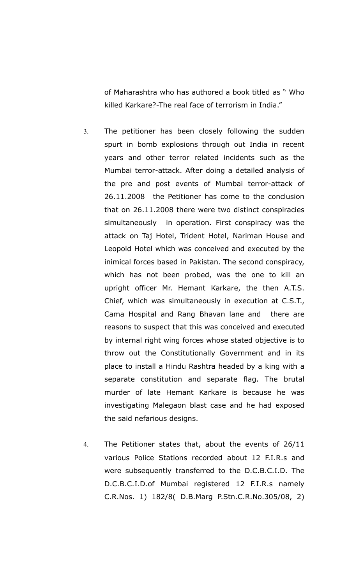of Maharashtra who has authored a book titled as " Who killed Karkare?-The real face of terrorism in India."

- 3. The petitioner has been closely following the sudden spurt in bomb explosions through out India in recent years and other terror related incidents such as the Mumbai terror-attack. After doing a detailed analysis of the pre and post events of Mumbai terror-attack of 26.11.2008 the Petitioner has come to the conclusion that on 26.11.2008 there were two distinct conspiracies simultaneously in operation. First conspiracy was the attack on Taj Hotel, Trident Hotel, Nariman House and Leopold Hotel which was conceived and executed by the inimical forces based in Pakistan. The second conspiracy, which has not been probed, was the one to kill an upright officer Mr. Hemant Karkare, the then A.T.S. Chief, which was simultaneously in execution at C.S.T., Cama Hospital and Rang Bhavan lane and there are reasons to suspect that this was conceived and executed by internal right wing forces whose stated objective is to throw out the Constitutionally Government and in its place to install a Hindu Rashtra headed by a king with a separate constitution and separate flag. The brutal murder of late Hemant Karkare is because he was investigating Malegaon blast case and he had exposed the said nefarious designs.
- 4. The Petitioner states that, about the events of 26/11 various Police Stations recorded about 12 F.I.R.s and were subsequently transferred to the D.C.B.C.I.D. The D.C.B.C.I.D.of Mumbai registered 12 F.I.R.s namely C.R.Nos. 1) 182/8( D.B.Marg P.Stn.C.R.No.305/08, 2)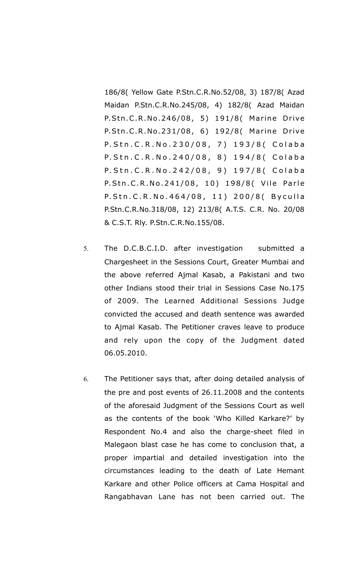186/8( Yellow Gate P.Stn.C.R.No.52/08, 3) 187/8( Azad Maidan P.Stn.C.R.No.245/08, 4) 182/8( Azad Maidan P.Stn.C.R.No.246/08, 5) 191/8( Marine Drive P.Stn.C.R.No.231/08, 6) 192/8( Marine Drive P. Stn. C. R. No. 230/08, 7) 193/8 ( Colaba P. Stn. C. R. No. 240/08, 8) 194/8 ( Colaba P. Stn. C. R. No. 242/08, 9) 197/8 ( Colaba P.Stn.C.R.No.241/08, 10) 198/8( Vile Parle P. Stn. C. R. No. 464/08, 11) 200/8 (Byculla P.Stn.C.R.No.318/08, 12) 213/8( A.T.S. C.R. No. 20/08 & C.S.T. Rly. P.Stn.C.R.No.155/08.

- 5. The D.C.B.C.I.D. after investigation submitted a Chargesheet in the Sessions Court, Greater Mumbai and the above referred Ajmal Kasab, a Pakistani and two other Indians stood their trial in Sessions Case No.175 of 2009. The Learned Additional Sessions Judge convicted the accused and death sentence was awarded to Ajmal Kasab. The Petitioner craves leave to produce and rely upon the copy of the Judgment dated 06.05.2010.
- 6. The Petitioner says that, after doing detailed analysis of the pre and post events of 26.11.2008 and the contents of the aforesaid Judgment of the Sessions Court as well as the contents of the book 'Who Killed Karkare?' by Respondent No.4 and also the charge-sheet filed in Malegaon blast case he has come to conclusion that, a proper impartial and detailed investigation into the circumstances leading to the death of Late Hemant Karkare and other Police officers at Cama Hospital and Rangabhavan Lane has not been carried out. The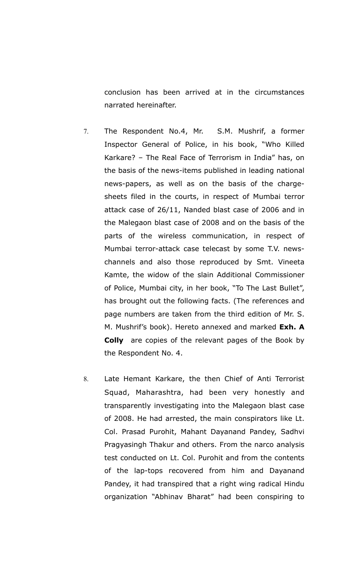conclusion has been arrived at in the circumstances narrated hereinafter.

- 7. The Respondent No.4, Mr. S.M. Mushrif, a former Inspector General of Police, in his book, "Who Killed Karkare? – The Real Face of Terrorism in India" has, on the basis of the news-items published in leading national news-papers, as well as on the basis of the chargesheets filed in the courts, in respect of Mumbai terror attack case of 26/11, Nanded blast case of 2006 and in the Malegaon blast case of 2008 and on the basis of the parts of the wireless communication, in respect of Mumbai terror-attack case telecast by some T.V. newschannels and also those reproduced by Smt. Vineeta Kamte, the widow of the slain Additional Commissioner of Police, Mumbai city, in her book, "To The Last Bullet", has brought out the following facts. (The references and page numbers are taken from the third edition of Mr. S. M. Mushrif's book). Hereto annexed and marked **Exh. A Colly** are copies of the relevant pages of the Book by the Respondent No. 4.
- 8. Late Hemant Karkare, the then Chief of Anti Terrorist Squad, Maharashtra, had been very honestly and transparently investigating into the Malegaon blast case of 2008. He had arrested, the main conspirators like Lt. Col. Prasad Purohit, Mahant Dayanand Pandey, Sadhvi Pragyasingh Thakur and others. From the narco analysis test conducted on Lt. Col. Purohit and from the contents of the lap-tops recovered from him and Dayanand Pandey, it had transpired that a right wing radical Hindu organization "Abhinav Bharat" had been conspiring to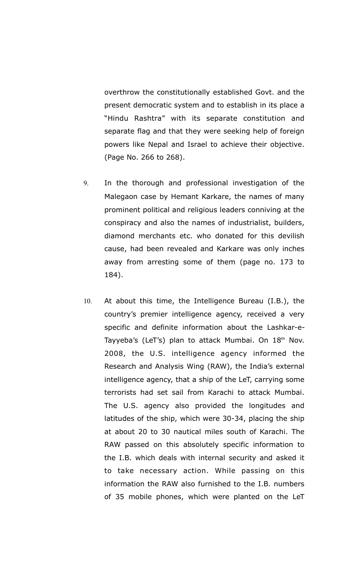overthrow the constitutionally established Govt. and the present democratic system and to establish in its place a "Hindu Rashtra" with its separate constitution and separate flag and that they were seeking help of foreign powers like Nepal and Israel to achieve their objective. (Page No. 266 to 268).

- 9. In the thorough and professional investigation of the Malegaon case by Hemant Karkare, the names of many prominent political and religious leaders conniving at the conspiracy and also the names of industrialist, builders, diamond merchants etc. who donated for this devilish cause, had been revealed and Karkare was only inches away from arresting some of them (page no. 173 to 184).
- 10. At about this time, the Intelligence Bureau (I.B.), the country's premier intelligence agency, received a very specific and definite information about the Lashkar-e-Tayyeba's (LeT's) plan to attack Mumbai. On 18<sup>th</sup> Nov. 2008, the U.S. intelligence agency informed the Research and Analysis Wing (RAW), the India's external intelligence agency, that a ship of the LeT, carrying some terrorists had set sail from Karachi to attack Mumbai. The U.S. agency also provided the longitudes and latitudes of the ship, which were 30-34, placing the ship at about 20 to 30 nautical miles south of Karachi. The RAW passed on this absolutely specific information to the I.B. which deals with internal security and asked it to take necessary action. While passing on this information the RAW also furnished to the I.B. numbers of 35 mobile phones, which were planted on the LeT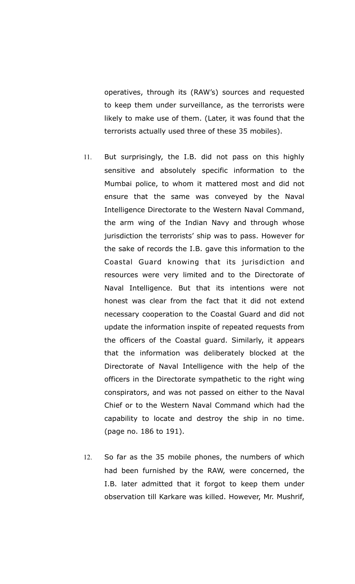operatives, through its (RAW's) sources and requested to keep them under surveillance, as the terrorists were likely to make use of them. (Later, it was found that the terrorists actually used three of these 35 mobiles).

- 11. But surprisingly, the I.B. did not pass on this highly sensitive and absolutely specific information to the Mumbai police, to whom it mattered most and did not ensure that the same was conveyed by the Naval Intelligence Directorate to the Western Naval Command, the arm wing of the Indian Navy and through whose jurisdiction the terrorists' ship was to pass. However for the sake of records the I.B. gave this information to the Coastal Guard knowing that its jurisdiction and resources were very limited and to the Directorate of Naval Intelligence. But that its intentions were not honest was clear from the fact that it did not extend necessary cooperation to the Coastal Guard and did not update the information inspite of repeated requests from the officers of the Coastal guard. Similarly, it appears that the information was deliberately blocked at the Directorate of Naval Intelligence with the help of the officers in the Directorate sympathetic to the right wing conspirators, and was not passed on either to the Naval Chief or to the Western Naval Command which had the capability to locate and destroy the ship in no time. (page no. 186 to 191).
- 12. So far as the 35 mobile phones, the numbers of which had been furnished by the RAW, were concerned, the I.B. later admitted that it forgot to keep them under observation till Karkare was killed. However, Mr. Mushrif,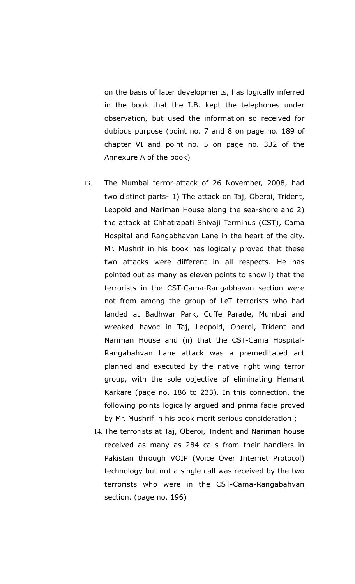on the basis of later developments, has logically inferred in the book that the I.B. kept the telephones under observation, but used the information so received for dubious purpose (point no. 7 and 8 on page no. 189 of chapter VI and point no. 5 on page no. 332 of the Annexure A of the book)

- 13. The Mumbai terror-attack of 26 November, 2008, had two distinct parts- 1) The attack on Taj, Oberoi, Trident, Leopold and Nariman House along the sea-shore and 2) the attack at Chhatrapati Shivaji Terminus (CST), Cama Hospital and Rangabhavan Lane in the heart of the city. Mr. Mushrif in his book has logically proved that these two attacks were different in all respects. He has pointed out as many as eleven points to show i) that the terrorists in the CST-Cama-Rangabhavan section were not from among the group of LeT terrorists who had landed at Badhwar Park, Cuffe Parade, Mumbai and wreaked havoc in Taj, Leopold, Oberoi, Trident and Nariman House and (ii) that the CST-Cama Hospital-Rangabahvan Lane attack was a premeditated act planned and executed by the native right wing terror group, with the sole objective of eliminating Hemant Karkare (page no. 186 to 233). In this connection, the following points logically argued and prima facie proved by Mr. Mushrif in his book merit serious consideration ;
	- 14. The terrorists at Taj, Oberoi, Trident and Nariman house received as many as 284 calls from their handlers in Pakistan through VOIP (Voice Over Internet Protocol) technology but not a single call was received by the two terrorists who were in the CST-Cama-Rangabahvan section. (page no. 196)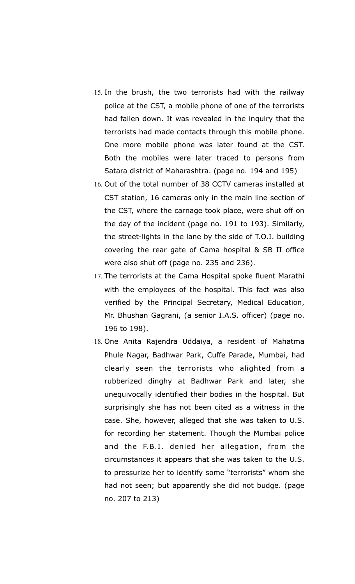- 15. In the brush, the two terrorists had with the railway police at the CST, a mobile phone of one of the terrorists had fallen down. It was revealed in the inquiry that the terrorists had made contacts through this mobile phone. One more mobile phone was later found at the CST. Both the mobiles were later traced to persons from Satara district of Maharashtra. (page no. 194 and 195)
- 16. Out of the total number of 38 CCTV cameras installed at CST station, 16 cameras only in the main line section of the CST, where the carnage took place, were shut off on the day of the incident (page no. 191 to 193). Similarly, the street-lights in the lane by the side of T.O.I. building covering the rear gate of Cama hospital & SB II office were also shut off (page no. 235 and 236).
- 17. The terrorists at the Cama Hospital spoke fluent Marathi with the employees of the hospital. This fact was also verified by the Principal Secretary, Medical Education, Mr. Bhushan Gagrani, (a senior I.A.S. officer) (page no. 196 to 198).
- 18. One Anita Rajendra Uddaiya, a resident of Mahatma Phule Nagar, Badhwar Park, Cuffe Parade, Mumbai, had clearly seen the terrorists who alighted from a rubberized dinghy at Badhwar Park and later, she unequivocally identified their bodies in the hospital. But surprisingly she has not been cited as a witness in the case. She, however, alleged that she was taken to U.S. for recording her statement. Though the Mumbai police and the F.B.I. denied her allegation, from the circumstances it appears that she was taken to the U.S. to pressurize her to identify some "terrorists" whom she had not seen; but apparently she did not budge. (page no. 207 to 213)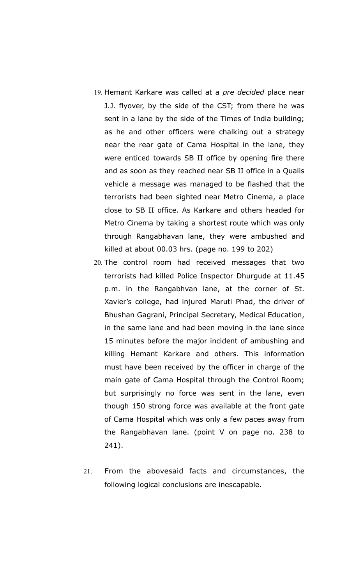- 19. Hemant Karkare was called at a *pre decided* place near J.J. flyover, by the side of the CST; from there he was sent in a lane by the side of the Times of India building; as he and other officers were chalking out a strategy near the rear gate of Cama Hospital in the lane, they were enticed towards SB II office by opening fire there and as soon as they reached near SB II office in a Qualis vehicle a message was managed to be flashed that the terrorists had been sighted near Metro Cinema, a place close to SB II office. As Karkare and others headed for Metro Cinema by taking a shortest route which was only through Rangabhavan lane, they were ambushed and killed at about 00.03 hrs. (page no. 199 to 202)
- 20. The control room had received messages that two terrorists had killed Police Inspector Dhurgude at 11.45 p.m. in the Rangabhvan lane, at the corner of St. Xavier's college, had injured Maruti Phad, the driver of Bhushan Gagrani, Principal Secretary, Medical Education, in the same lane and had been moving in the lane since 15 minutes before the major incident of ambushing and killing Hemant Karkare and others. This information must have been received by the officer in charge of the main gate of Cama Hospital through the Control Room; but surprisingly no force was sent in the lane, even though 150 strong force was available at the front gate of Cama Hospital which was only a few paces away from the Rangabhavan lane. (point V on page no. 238 to 241).
- 21. From the abovesaid facts and circumstances, the following logical conclusions are inescapable.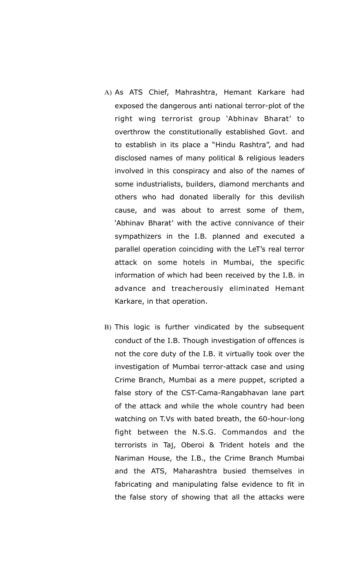- A) As ATS Chief, Mahrashtra, Hemant Karkare had exposed the dangerous anti national terror-plot of the right wing terrorist group 'Abhinav Bharat' to overthrow the constitutionally established Govt. and to establish in its place a "Hindu Rashtra", and had disclosed names of many political & religious leaders involved in this conspiracy and also of the names of some industrialists, builders, diamond merchants and others who had donated liberally for this devilish cause, and was about to arrest some of them, 'Abhinav Bharat' with the active connivance of their sympathizers in the I.B. planned and executed a parallel operation coinciding with the LeT's real terror attack on some hotels in Mumbai, the specific information of which had been received by the I.B. in advance and treacherously eliminated Hemant Karkare, in that operation.
- B) This logic is further vindicated by the subsequent conduct of the I.B. Though investigation of offences is not the core duty of the I.B. it virtually took over the investigation of Mumbai terror-attack case and using Crime Branch, Mumbai as a mere puppet, scripted a false story of the CST-Cama-Rangabhavan lane part of the attack and while the whole country had been watching on T.Vs with bated breath, the 60-hour-long fight between the N.S.G. Commandos and the terrorists in Taj, Oberoi & Trident hotels and the Nariman House, the I.B., the Crime Branch Mumbai and the ATS, Maharashtra busied themselves in fabricating and manipulating false evidence to fit in the false story of showing that all the attacks were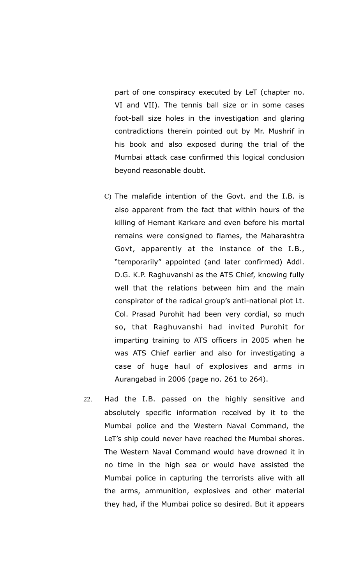part of one conspiracy executed by LeT (chapter no. VI and VII). The tennis ball size or in some cases foot-ball size holes in the investigation and glaring contradictions therein pointed out by Mr. Mushrif in his book and also exposed during the trial of the Mumbai attack case confirmed this logical conclusion beyond reasonable doubt.

- C) The malafide intention of the Govt. and the I.B. is also apparent from the fact that within hours of the killing of Hemant Karkare and even before his mortal remains were consigned to flames, the Maharashtra Govt, apparently at the instance of the I.B., "temporarily" appointed (and later confirmed) Addl. D.G. K.P. Raghuvanshi as the ATS Chief, knowing fully well that the relations between him and the main conspirator of the radical group's anti-national plot Lt. Col. Prasad Purohit had been very cordial, so much so, that Raghuvanshi had invited Purohit for imparting training to ATS officers in 2005 when he was ATS Chief earlier and also for investigating a case of huge haul of explosives and arms in Aurangabad in 2006 (page no. 261 to 264).
- 22. Had the I.B. passed on the highly sensitive and absolutely specific information received by it to the Mumbai police and the Western Naval Command, the LeT's ship could never have reached the Mumbai shores. The Western Naval Command would have drowned it in no time in the high sea or would have assisted the Mumbai police in capturing the terrorists alive with all the arms, ammunition, explosives and other material they had, if the Mumbai police so desired. But it appears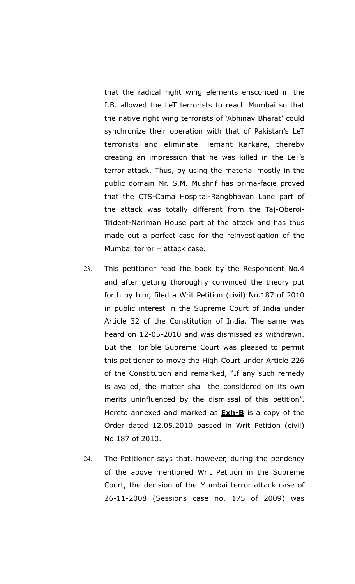that the radical right wing elements ensconced in the I.B. allowed the LeT terrorists to reach Mumbai so that the native right wing terrorists of 'Abhinav Bharat' could synchronize their operation with that of Pakistan's LeT terrorists and eliminate Hemant Karkare, thereby creating an impression that he was killed in the LeT's terror attack. Thus, by using the material mostly in the public domain Mr. S.M. Mushrif has prima-facie proved that the CTS-Cama Hospital-Rangbhavan Lane part of the attack was totally different from the Taj-Oberoi-Trident-Nariman House part of the attack and has thus made out a perfect case for the reinvestigation of the Mumbai terror – attack case.

- 23. This petitioner read the book by the Respondent No.4 and after getting thoroughly convinced the theory put forth by him, filed a Writ Petition (civil) No.187 of 2010 in public interest in the Supreme Court of India under Article 32 of the Constitution of India. The same was heard on 12-05-2010 and was dismissed as withdrawn. But the Hon'ble Supreme Court was pleased to permit this petitioner to move the High Court under Article 226 of the Constitution and remarked, "If any such remedy is availed, the matter shall the considered on its own merits uninfluenced by the dismissal of this petition". Hereto annexed and marked as **Exh-B** is a copy of the Order dated 12.05.2010 passed in Writ Petition (civil) No.187 of 2010.
- 24. The Petitioner says that, however, during the pendency of the above mentioned Writ Petition in the Supreme Court, the decision of the Mumbai terror-attack case of 26-11-2008 (Sessions case no. 175 of 2009) was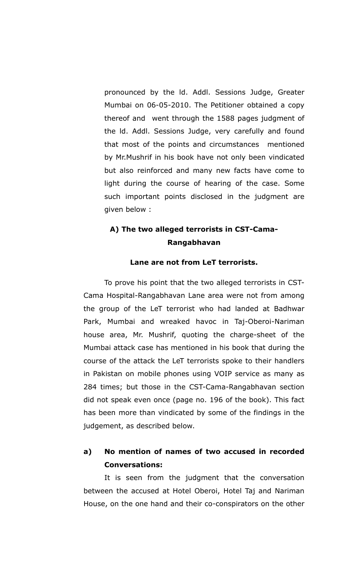pronounced by the ld. Addl. Sessions Judge, Greater Mumbai on 06-05-2010. The Petitioner obtained a copy thereof and went through the 1588 pages judgment of the ld. Addl. Sessions Judge, very carefully and found that most of the points and circumstances mentioned by Mr.Mushrif in his book have not only been vindicated but also reinforced and many new facts have come to light during the course of hearing of the case. Some such important points disclosed in the judgment are given below :

## **A) The two alleged terrorists in CST-Cama-Rangabhavan**

### **Lane are not from LeT terrorists.**

To prove his point that the two alleged terrorists in CST-Cama Hospital-Rangabhavan Lane area were not from among the group of the LeT terrorist who had landed at Badhwar Park, Mumbai and wreaked havoc in Taj-Oberoi-Nariman house area, Mr. Mushrif, quoting the charge-sheet of the Mumbai attack case has mentioned in his book that during the course of the attack the LeT terrorists spoke to their handlers in Pakistan on mobile phones using VOIP service as many as 284 times; but those in the CST-Cama-Rangabhavan section did not speak even once (page no. 196 of the book). This fact has been more than vindicated by some of the findings in the judgement, as described below.

## **a) No mention of names of two accused in recorded Conversations:**

It is seen from the judgment that the conversation between the accused at Hotel Oberoi, Hotel Taj and Nariman House, on the one hand and their co-conspirators on the other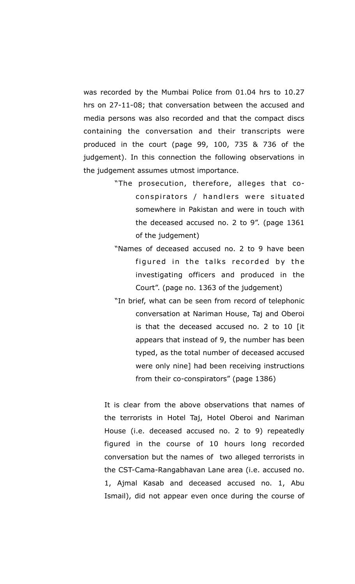was recorded by the Mumbai Police from 01.04 hrs to 10.27 hrs on 27-11-08; that conversation between the accused and media persons was also recorded and that the compact discs containing the conversation and their transcripts were produced in the court (page 99, 100, 735 & 736 of the judgement). In this connection the following observations in the judgement assumes utmost importance.

- "The prosecution, therefore, alleges that coconspirators / handlers were situated somewhere in Pakistan and were in touch with the deceased accused no. 2 to 9". (page 1361 of the judgement)
- "Names of deceased accused no. 2 to 9 have been figured in the talks recorded by the investigating officers and produced in the Court". (page no. 1363 of the judgement)
- "In brief, what can be seen from record of telephonic conversation at Nariman House, Taj and Oberoi is that the deceased accused no. 2 to 10 [it appears that instead of 9, the number has been typed, as the total number of deceased accused were only nine] had been receiving instructions from their co-conspirators" (page 1386)

It is clear from the above observations that names of the terrorists in Hotel Taj, Hotel Oberoi and Nariman House (i.e. deceased accused no. 2 to 9) repeatedly figured in the course of 10 hours long recorded conversation but the names of two alleged terrorists in the CST-Cama-Rangabhavan Lane area (i.e. accused no. 1, Ajmal Kasab and deceased accused no. 1, Abu Ismail), did not appear even once during the course of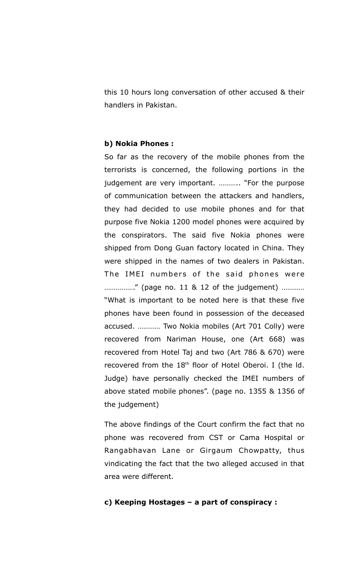this 10 hours long conversation of other accused & their handlers in Pakistan.

#### **b) Nokia Phones :**

So far as the recovery of the mobile phones from the terrorists is concerned, the following portions in the judgement are very important. ……….. "For the purpose of communication between the attackers and handlers, they had decided to use mobile phones and for that purpose five Nokia 1200 model phones were acquired by the conspirators. The said five Nokia phones were shipped from Dong Guan factory located in China. They were shipped in the names of two dealers in Pakistan. The IMEI numbers of the said phones were ……………." (page no. 11 & 12 of the judgement) ………… "What is important to be noted here is that these five phones have been found in possession of the deceased accused. ………… Two Nokia mobiles (Art 701 Colly) were recovered from Nariman House, one (Art 668) was recovered from Hotel Taj and two (Art 786 & 670) were recovered from the  $18<sup>th</sup>$  floor of Hotel Oberoi. I (the Id. Judge) have personally checked the IMEI numbers of above stated mobile phones". (page no. 1355 & 1356 of the judgement)

The above findings of the Court confirm the fact that no phone was recovered from CST or Cama Hospital or Rangabhavan Lane or Girgaum Chowpatty, thus vindicating the fact that the two alleged accused in that area were different.

#### **c) Keeping Hostages – a part of conspiracy :**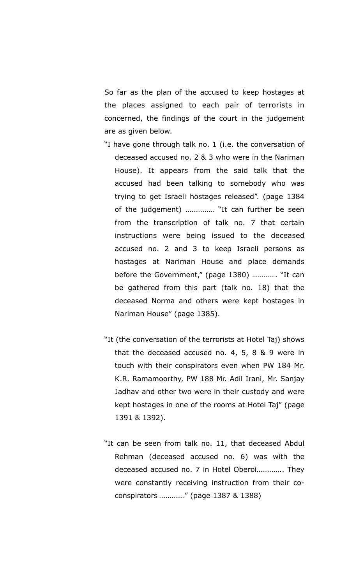So far as the plan of the accused to keep hostages at the places assigned to each pair of terrorists in concerned, the findings of the court in the judgement are as given below.

- "I have gone through talk no. 1 (i.e. the conversation of deceased accused no. 2 & 3 who were in the Nariman House). It appears from the said talk that the accused had been talking to somebody who was trying to get Israeli hostages released". (page 1384 of the judgement) …………… "It can further be seen from the transcription of talk no. 7 that certain instructions were being issued to the deceased accused no. 2 and 3 to keep Israeli persons as hostages at Nariman House and place demands before the Government," (page 1380) …………. "It can be gathered from this part (talk no. 18) that the deceased Norma and others were kept hostages in Nariman House" (page 1385).
- "It (the conversation of the terrorists at Hotel Taj) shows that the deceased accused no. 4, 5, 8 & 9 were in touch with their conspirators even when PW 184 Mr. K.R. Ramamoorthy, PW 188 Mr. Adil Irani, Mr. Sanjay Jadhav and other two were in their custody and were kept hostages in one of the rooms at Hotel Taj" (page 1391 & 1392).
- "It can be seen from talk no. 11, that deceased Abdul Rehman (deceased accused no. 6) was with the deceased accused no. 7 in Hotel Oberoi………….. They were constantly receiving instruction from their coconspirators …………." (page 1387 & 1388)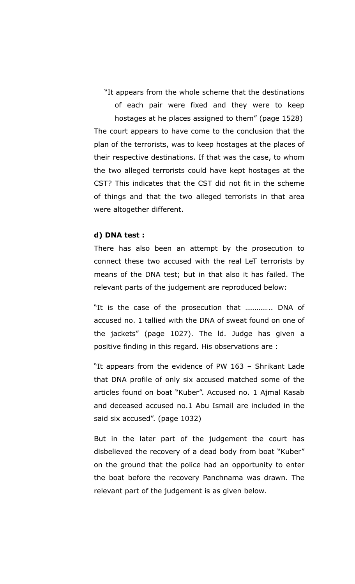"It appears from the whole scheme that the destinations of each pair were fixed and they were to keep hostages at he places assigned to them" (page 1528) The court appears to have come to the conclusion that the plan of the terrorists, was to keep hostages at the places of their respective destinations. If that was the case, to whom the two alleged terrorists could have kept hostages at the CST? This indicates that the CST did not fit in the scheme of things and that the two alleged terrorists in that area were altogether different.

#### **d) DNA test :**

There has also been an attempt by the prosecution to connect these two accused with the real LeT terrorists by means of the DNA test; but in that also it has failed. The relevant parts of the judgement are reproduced below:

"It is the case of the prosecution that ………….. DNA of accused no. 1 tallied with the DNA of sweat found on one of the jackets" (page 1027). The ld. Judge has given a positive finding in this regard. His observations are :

"It appears from the evidence of PW 163 – Shrikant Lade that DNA profile of only six accused matched some of the articles found on boat "Kuber". Accused no. 1 Ajmal Kasab and deceased accused no.1 Abu Ismail are included in the said six accused". (page 1032)

But in the later part of the judgement the court has disbelieved the recovery of a dead body from boat "Kuber" on the ground that the police had an opportunity to enter the boat before the recovery Panchnama was drawn. The relevant part of the judgement is as given below.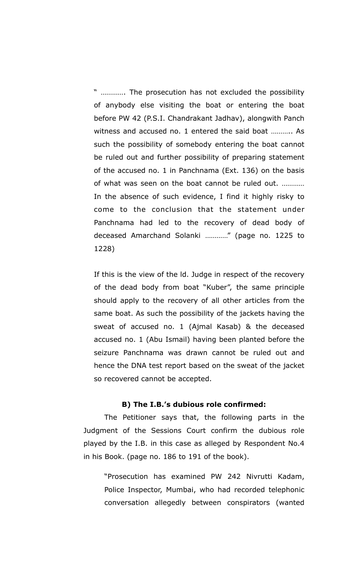" …………. The prosecution has not excluded the possibility of anybody else visiting the boat or entering the boat before PW 42 (P.S.I. Chandrakant Jadhav), alongwith Panch witness and accused no. 1 entered the said boat ……….. As such the possibility of somebody entering the boat cannot be ruled out and further possibility of preparing statement of the accused no. 1 in Panchnama (Ext. 136) on the basis of what was seen on the boat cannot be ruled out. ………… In the absence of such evidence, I find it highly risky to come to the conclusion that the statement under Panchnama had led to the recovery of dead body of deceased Amarchand Solanki …………" (page no. 1225 to 1228)

If this is the view of the ld. Judge in respect of the recovery of the dead body from boat "Kuber", the same principle should apply to the recovery of all other articles from the same boat. As such the possibility of the jackets having the sweat of accused no. 1 (Ajmal Kasab) & the deceased accused no. 1 (Abu Ismail) having been planted before the seizure Panchnama was drawn cannot be ruled out and hence the DNA test report based on the sweat of the jacket so recovered cannot be accepted.

#### **B) The I.B.'s dubious role confirmed:**

The Petitioner says that, the following parts in the Judgment of the Sessions Court confirm the dubious role played by the I.B. in this case as alleged by Respondent No.4 in his Book. (page no. 186 to 191 of the book).

"Prosecution has examined PW 242 Nivrutti Kadam, Police Inspector, Mumbai, who had recorded telephonic conversation allegedly between conspirators (wanted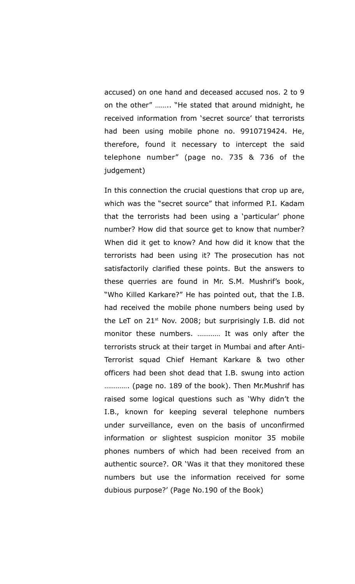accused) on one hand and deceased accused nos. 2 to 9 on the other" …….. "He stated that around midnight, he received information from 'secret source' that terrorists had been using mobile phone no. 9910719424. He, therefore, found it necessary to intercept the said telephone number" (page no. 735 & 736 of the judgement)

In this connection the crucial questions that crop up are, which was the "secret source" that informed P.I. Kadam that the terrorists had been using a 'particular' phone number? How did that source get to know that number? When did it get to know? And how did it know that the terrorists had been using it? The prosecution has not satisfactorily clarified these points. But the answers to these querries are found in Mr. S.M. Mushrif's book, "Who Killed Karkare?" He has pointed out, that the I.B. had received the mobile phone numbers being used by the LeT on  $21<sup>st</sup>$  Nov. 2008; but surprisingly I.B. did not monitor these numbers. ………… It was only after the terrorists struck at their target in Mumbai and after Anti-Terrorist squad Chief Hemant Karkare & two other officers had been shot dead that I.B. swung into action …………. (page no. 189 of the book). Then Mr.Mushrif has raised some logical questions such as 'Why didn't the I.B., known for keeping several telephone numbers under surveillance, even on the basis of unconfirmed information or slightest suspicion monitor 35 mobile phones numbers of which had been received from an authentic source?. OR 'Was it that they monitored these numbers but use the information received for some dubious purpose?' (Page No.190 of the Book)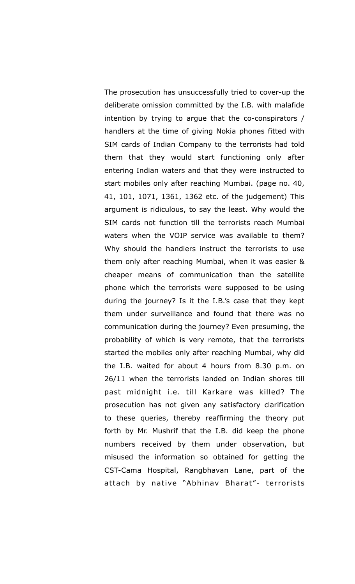The prosecution has unsuccessfully tried to cover-up the deliberate omission committed by the I.B. with malafide intention by trying to argue that the co-conspirators / handlers at the time of giving Nokia phones fitted with SIM cards of Indian Company to the terrorists had told them that they would start functioning only after entering Indian waters and that they were instructed to start mobiles only after reaching Mumbai. (page no. 40, 41, 101, 1071, 1361, 1362 etc. of the judgement) This argument is ridiculous, to say the least. Why would the SIM cards not function till the terrorists reach Mumbai waters when the VOIP service was available to them? Why should the handlers instruct the terrorists to use them only after reaching Mumbai, when it was easier & cheaper means of communication than the satellite phone which the terrorists were supposed to be using during the journey? Is it the I.B.'s case that they kept them under surveillance and found that there was no communication during the journey? Even presuming, the probability of which is very remote, that the terrorists started the mobiles only after reaching Mumbai, why did the I.B. waited for about 4 hours from 8.30 p.m. on 26/11 when the terrorists landed on Indian shores till past midnight i.e. till Karkare was killed? The prosecution has not given any satisfactory clarification to these queries, thereby reaffirming the theory put forth by Mr. Mushrif that the I.B. did keep the phone numbers received by them under observation, but misused the information so obtained for getting the CST-Cama Hospital, Rangbhavan Lane, part of the attach by native "Abhinav Bharat"- terrorists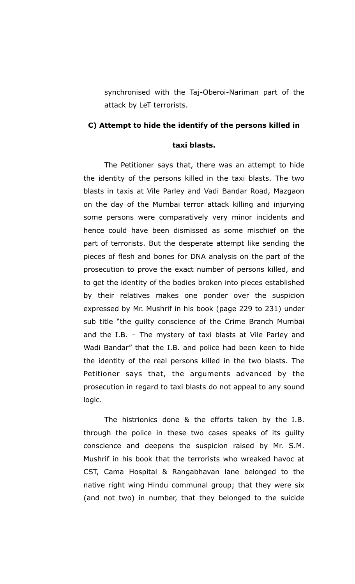synchronised with the Taj-Oberoi-Nariman part of the attack by LeT terrorists.

#### **C) Attempt to hide the identify of the persons killed in**

### **taxi blasts.**

The Petitioner says that, there was an attempt to hide the identity of the persons killed in the taxi blasts. The two blasts in taxis at Vile Parley and Vadi Bandar Road, Mazgaon on the day of the Mumbai terror attack killing and injurying some persons were comparatively very minor incidents and hence could have been dismissed as some mischief on the part of terrorists. But the desperate attempt like sending the pieces of flesh and bones for DNA analysis on the part of the prosecution to prove the exact number of persons killed, and to get the identity of the bodies broken into pieces established by their relatives makes one ponder over the suspicion expressed by Mr. Mushrif in his book (page 229 to 231) under sub title "the guilty conscience of the Crime Branch Mumbai and the I.B. – The mystery of taxi blasts at Vile Parley and Wadi Bandar" that the I.B. and police had been keen to hide the identity of the real persons killed in the two blasts. The Petitioner says that, the arguments advanced by the prosecution in regard to taxi blasts do not appeal to any sound logic.

The histrionics done & the efforts taken by the I.B. through the police in these two cases speaks of its guilty conscience and deepens the suspicion raised by Mr. S.M. Mushrif in his book that the terrorists who wreaked havoc at CST, Cama Hospital & Rangabhavan lane belonged to the native right wing Hindu communal group; that they were six (and not two) in number, that they belonged to the suicide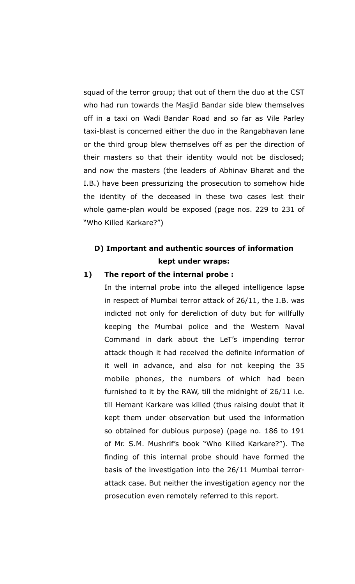squad of the terror group; that out of them the duo at the CST who had run towards the Masjid Bandar side blew themselves off in a taxi on Wadi Bandar Road and so far as Vile Parley taxi-blast is concerned either the duo in the Rangabhavan lane or the third group blew themselves off as per the direction of their masters so that their identity would not be disclosed; and now the masters (the leaders of Abhinav Bharat and the I.B.) have been pressurizing the prosecution to somehow hide the identity of the deceased in these two cases lest their whole game-plan would be exposed (page nos. 229 to 231 of "Who Killed Karkare?")

## **D) Important and authentic sources of information kept under wraps:**

### **1) The report of the internal probe :**

In the internal probe into the alleged intelligence lapse in respect of Mumbai terror attack of 26/11, the I.B. was indicted not only for dereliction of duty but for willfully keeping the Mumbai police and the Western Naval Command in dark about the LeT's impending terror attack though it had received the definite information of it well in advance, and also for not keeping the 35 mobile phones, the numbers of which had been furnished to it by the RAW, till the midnight of 26/11 i.e. till Hemant Karkare was killed (thus raising doubt that it kept them under observation but used the information so obtained for dubious purpose) (page no. 186 to 191 of Mr. S.M. Mushrif's book "Who Killed Karkare?"). The finding of this internal probe should have formed the basis of the investigation into the 26/11 Mumbai terrorattack case. But neither the investigation agency nor the prosecution even remotely referred to this report.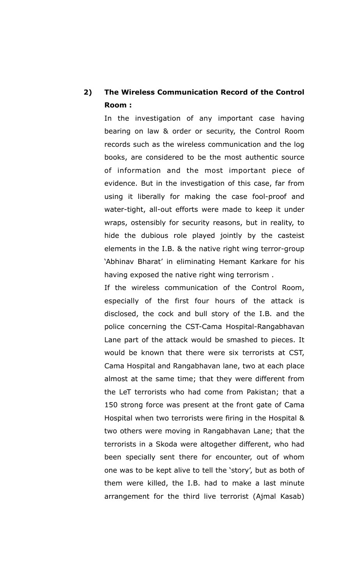## **2) The Wireless Communication Record of the Control Room :**

In the investigation of any important case having bearing on law & order or security, the Control Room records such as the wireless communication and the log books, are considered to be the most authentic source of information and the most important piece of evidence. But in the investigation of this case, far from using it liberally for making the case fool-proof and water-tight, all-out efforts were made to keep it under wraps, ostensibly for security reasons, but in reality, to hide the dubious role played jointly by the casteist elements in the I.B. & the native right wing terror-group 'Abhinav Bharat' in eliminating Hemant Karkare for his having exposed the native right wing terrorism .

If the wireless communication of the Control Room, especially of the first four hours of the attack is disclosed, the cock and bull story of the I.B. and the police concerning the CST-Cama Hospital-Rangabhavan Lane part of the attack would be smashed to pieces. It would be known that there were six terrorists at CST, Cama Hospital and Rangabhavan lane, two at each place almost at the same time; that they were different from the LeT terrorists who had come from Pakistan; that a 150 strong force was present at the front gate of Cama Hospital when two terrorists were firing in the Hospital & two others were moving in Rangabhavan Lane; that the terrorists in a Skoda were altogether different, who had been specially sent there for encounter, out of whom one was to be kept alive to tell the 'story', but as both of them were killed, the I.B. had to make a last minute arrangement for the third live terrorist (Ajmal Kasab)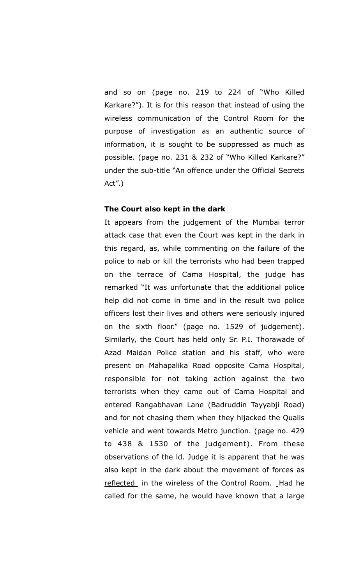and so on (page no. 219 to 224 of "Who Killed Karkare?"). It is for this reason that instead of using the wireless communication of the Control Room for the purpose of investigation as an authentic source of information, it is sought to be suppressed as much as possible. (page no. 231 & 232 of "Who Killed Karkare?" under the sub-title "An offence under the Official Secrets Act".)

#### **The Court also kept in the dark**

It appears from the judgement of the Mumbai terror attack case that even the Court was kept in the dark in this regard, as, while commenting on the failure of the police to nab or kill the terrorists who had been trapped on the terrace of Cama Hospital, the judge has remarked "It was unfortunate that the additional police help did not come in time and in the result two police officers lost their lives and others were seriously injured on the sixth floor." (page no. 1529 of judgement). Similarly, the Court has held only Sr. P.I. Thorawade of Azad Maidan Police station and his staff, who were present on Mahapalika Road opposite Cama Hospital, responsible for not taking action against the two terrorists when they came out of Cama Hospital and entered Rangabhavan Lane (Badruddin Tayyabji Road) and for not chasing them when they hijacked the Qualis vehicle and went towards Metro junction. (page no. 429 to 438 & 1530 of the judgement). From these observations of the ld. Judge it is apparent that he was also kept in the dark about the movement of forces as reflected in the wireless of the Control Room. \_ Had he called for the same, he would have known that a large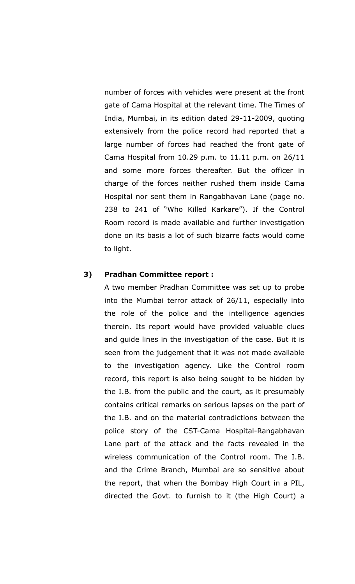number of forces with vehicles were present at the front gate of Cama Hospital at the relevant time. The Times of India, Mumbai, in its edition dated 29-11-2009, quoting extensively from the police record had reported that a large number of forces had reached the front gate of Cama Hospital from 10.29 p.m. to 11.11 p.m. on 26/11 and some more forces thereafter. But the officer in charge of the forces neither rushed them inside Cama Hospital nor sent them in Rangabhavan Lane (page no. 238 to 241 of "Who Killed Karkare"). If the Control Room record is made available and further investigation done on its basis a lot of such bizarre facts would come to light.

#### **3) Pradhan Committee report :**

A two member Pradhan Committee was set up to probe into the Mumbai terror attack of 26/11, especially into the role of the police and the intelligence agencies therein. Its report would have provided valuable clues and guide lines in the investigation of the case. But it is seen from the judgement that it was not made available to the investigation agency. Like the Control room record, this report is also being sought to be hidden by the I.B. from the public and the court, as it presumably contains critical remarks on serious lapses on the part of the I.B. and on the material contradictions between the police story of the CST-Cama Hospital-Rangabhavan Lane part of the attack and the facts revealed in the wireless communication of the Control room. The I.B. and the Crime Branch, Mumbai are so sensitive about the report, that when the Bombay High Court in a PIL, directed the Govt. to furnish to it (the High Court) a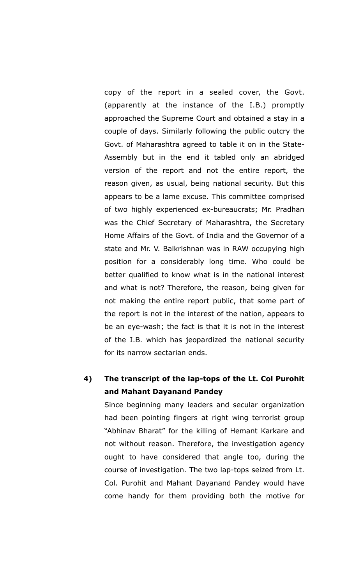copy of the report in a sealed cover, the Govt. (apparently at the instance of the I.B.) promptly approached the Supreme Court and obtained a stay in a couple of days. Similarly following the public outcry the Govt. of Maharashtra agreed to table it on in the State-Assembly but in the end it tabled only an abridged version of the report and not the entire report, the reason given, as usual, being national security. But this appears to be a lame excuse. This committee comprised of two highly experienced ex-bureaucrats; Mr. Pradhan was the Chief Secretary of Maharashtra, the Secretary Home Affairs of the Govt. of India and the Governor of a state and Mr. V. Balkrishnan was in RAW occupying high position for a considerably long time. Who could be better qualified to know what is in the national interest and what is not? Therefore, the reason, being given for not making the entire report public, that some part of the report is not in the interest of the nation, appears to be an eye-wash; the fact is that it is not in the interest of the I.B. which has jeopardized the national security for its narrow sectarian ends.

## **4) The transcript of the lap-tops of the Lt. Col Purohit and Mahant Dayanand Pandey**

Since beginning many leaders and secular organization had been pointing fingers at right wing terrorist group "Abhinav Bharat" for the killing of Hemant Karkare and not without reason. Therefore, the investigation agency ought to have considered that angle too, during the course of investigation. The two lap-tops seized from Lt. Col. Purohit and Mahant Dayanand Pandey would have come handy for them providing both the motive for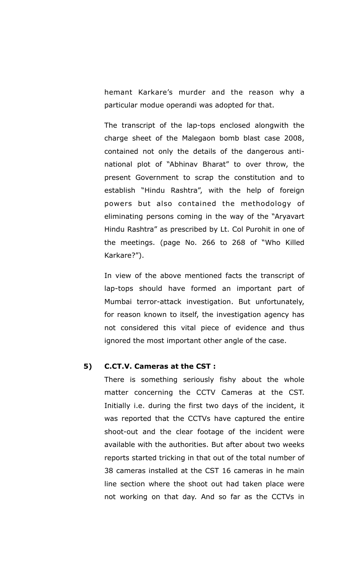hemant Karkare's murder and the reason why a particular modue operandi was adopted for that.

The transcript of the lap-tops enclosed alongwith the charge sheet of the Malegaon bomb blast case 2008, contained not only the details of the dangerous antinational plot of "Abhinav Bharat" to over throw, the present Government to scrap the constitution and to establish "Hindu Rashtra", with the help of foreign powers but also contained the methodology of eliminating persons coming in the way of the "Aryavart Hindu Rashtra" as prescribed by Lt. Col Purohit in one of the meetings. (page No. 266 to 268 of "Who Killed Karkare?").

In view of the above mentioned facts the transcript of lap-tops should have formed an important part of Mumbai terror-attack investigation. But unfortunately, for reason known to itself, the investigation agency has not considered this vital piece of evidence and thus ignored the most important other angle of the case.

### **5) C.CT.V. Cameras at the CST :**

There is something seriously fishy about the whole matter concerning the CCTV Cameras at the CST. Initially i.e. during the first two days of the incident, it was reported that the CCTVs have captured the entire shoot-out and the clear footage of the incident were available with the authorities. But after about two weeks reports started tricking in that out of the total number of 38 cameras installed at the CST 16 cameras in he main line section where the shoot out had taken place were not working on that day. And so far as the CCTVs in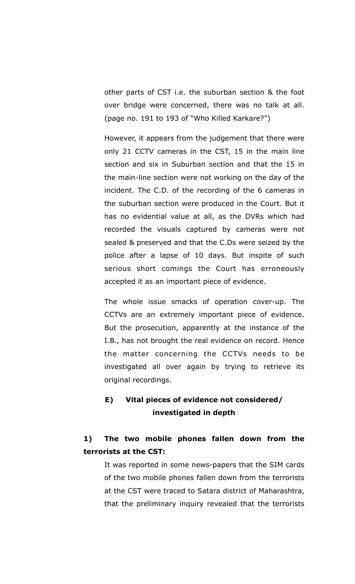other parts of CST i.e. the suburban section & the foot over bridge were concerned, there was no talk at all. (page no. 191 to 193 of "Who Killed Karkare?")

However, it appears from the judgement that there were only 21 CCTV cameras in the CST, 15 in the main line section and six in Suburban section and that the 15 in the main-line section were not working on the day of the incident. The C.D. of the recording of the 6 cameras in the suburban section were produced in the Court. But it has no evidential value at all, as the DVRs which had recorded the visuals captured by cameras were not sealed & preserved and that the C.Ds were seized by the police after a lapse of 10 days. But inspite of such serious short comings the Court has erroneously accepted it as an important piece of evidence.

The whole issue smacks of operation cover-up. The CCTVs are an extremely important piece of evidence. But the prosecution, apparently at the instance of the I.B., has not brought the real evidence on record. Hence the matter concerning the CCTVs needs to be investigated all over again by trying to retrieve its original recordings.

## **E) Vital pieces of evidence not considered/ investigated in depth**

## **1) The two mobile phones fallen down from the terrorists at the CST:**

It was reported in some news-papers that the SIM cards of the two mobile phones fallen down from the terrorists at the CST were traced to Satara district of Maharashtra, that the preliminary inquiry revealed that the terrorists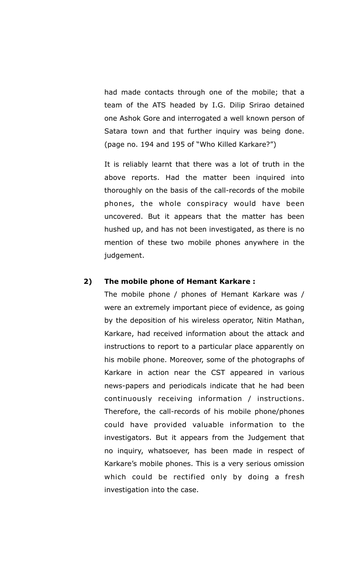had made contacts through one of the mobile; that a team of the ATS headed by I.G. Dilip Srirao detained one Ashok Gore and interrogated a well known person of Satara town and that further inquiry was being done. (page no. 194 and 195 of "Who Killed Karkare?")

It is reliably learnt that there was a lot of truth in the above reports. Had the matter been inquired into thoroughly on the basis of the call-records of the mobile phones, the whole conspiracy would have been uncovered. But it appears that the matter has been hushed up, and has not been investigated, as there is no mention of these two mobile phones anywhere in the judgement.

#### **2) The mobile phone of Hemant Karkare :**

The mobile phone / phones of Hemant Karkare was / were an extremely important piece of evidence, as going by the deposition of his wireless operator, Nitin Mathan, Karkare, had received information about the attack and instructions to report to a particular place apparently on his mobile phone. Moreover, some of the photographs of Karkare in action near the CST appeared in various news-papers and periodicals indicate that he had been continuously receiving information / instructions. Therefore, the call-records of his mobile phone/phones could have provided valuable information to the investigators. But it appears from the Judgement that no inquiry, whatsoever, has been made in respect of Karkare's mobile phones. This is a very serious omission which could be rectified only by doing a fresh investigation into the case.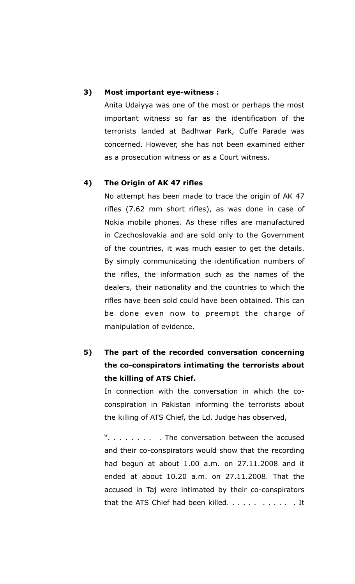### **3) Most important eye-witness :**

Anita Udaiyya was one of the most or perhaps the most important witness so far as the identification of the terrorists landed at Badhwar Park, Cuffe Parade was concerned. However, she has not been examined either as a prosecution witness or as a Court witness.

#### **4) The Origin of AK 47 rifles**

No attempt has been made to trace the origin of AK 47 rifles (7.62 mm short rifles), as was done in case of Nokia mobile phones. As these rifles are manufactured in Czechoslovakia and are sold only to the Government of the countries, it was much easier to get the details. By simply communicating the identification numbers of the rifles, the information such as the names of the dealers, their nationality and the countries to which the rifles have been sold could have been obtained. This can be done even now to preempt the charge of manipulation of evidence.

# **5) The part of the recorded conversation concerning the co-conspirators intimating the terrorists about the killing of ATS Chief.**

In connection with the conversation in which the coconspiration in Pakistan informing the terrorists about the killing of ATS Chief, the Ld. Judge has observed,

". . . . . . . . . The conversation between the accused and their co-conspirators would show that the recording had begun at about 1.00 a.m. on 27.11.2008 and it ended at about 10.20 a.m. on 27.11.2008. That the accused in Taj were intimated by their co-conspirators that the ATS Chief had been killed. . . . . . . . . . . . It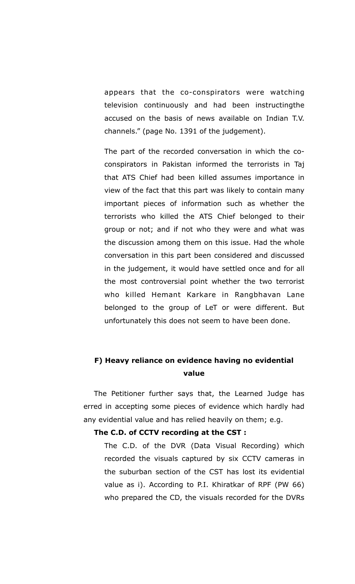appears that the co-conspirators were watching television continuously and had been instructingthe accused on the basis of news available on Indian T.V. channels." (page No. 1391 of the judgement).

The part of the recorded conversation in which the coconspirators in Pakistan informed the terrorists in Taj that ATS Chief had been killed assumes importance in view of the fact that this part was likely to contain many important pieces of information such as whether the terrorists who killed the ATS Chief belonged to their group or not; and if not who they were and what was the discussion among them on this issue. Had the whole conversation in this part been considered and discussed in the judgement, it would have settled once and for all the most controversial point whether the two terrorist who killed Hemant Karkare in Rangbhavan Lane belonged to the group of LeT or were different. But unfortunately this does not seem to have been done.

## **F) Heavy reliance on evidence having no evidential value**

The Petitioner further says that, the Learned Judge has erred in accepting some pieces of evidence which hardly had any evidential value and has relied heavily on them; e.g.

#### **The C.D. of CCTV recording at the CST :**

The C.D. of the DVR (Data Visual Recording) which recorded the visuals captured by six CCTV cameras in the suburban section of the CST has lost its evidential value as i). According to P.I. Khiratkar of RPF (PW 66) who prepared the CD, the visuals recorded for the DVRs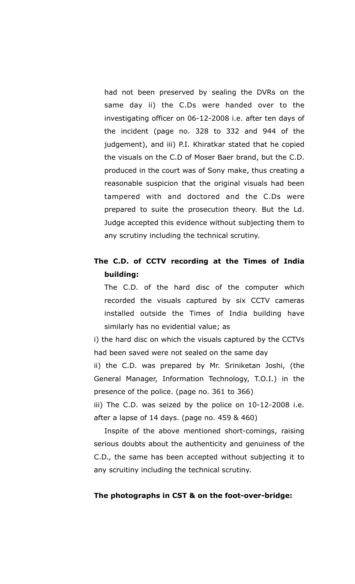had not been preserved by sealing the DVRs on the same day ii) the C.Ds were handed over to the investigating officer on 06-12-2008 i.e. after ten days of the incident (page no. 328 to 332 and 944 of the judgement), and iii) P.I. Khiratkar stated that he copied the visuals on the C.D of Moser Baer brand, but the C.D. produced in the court was of Sony make, thus creating a reasonable suspicion that the original visuals had been tampered with and doctored and the C.Ds were prepared to suite the prosecution theory. But the Ld. Judge accepted this evidence without subjecting them to any scrutiny including the technical scrutiny.

## **The C.D. of CCTV recording at the Times of India building:**

The C.D. of the hard disc of the computer which recorded the visuals captured by six CCTV cameras installed outside the Times of India building have similarly has no evidential value; as

i) the hard disc on which the visuals captured by the CCTVs had been saved were not sealed on the same day

ii) the C.D. was prepared by Mr. Sriniketan Joshi, (the General Manager, Information Technology, T.O.I.) in the presence of the police. (page no. 361 to 366)

iii) The C.D. was seized by the police on 10-12-2008 i.e. after a lapse of 14 days. (page no. 459 & 460)

Inspite of the above mentioned short-comings, raising serious doubts about the authenticity and genuiness of the C.D., the same has been accepted without subjecting it to any scruitiny including the technical scrutiny.

#### **The photographs in CST & on the foot-over-bridge:**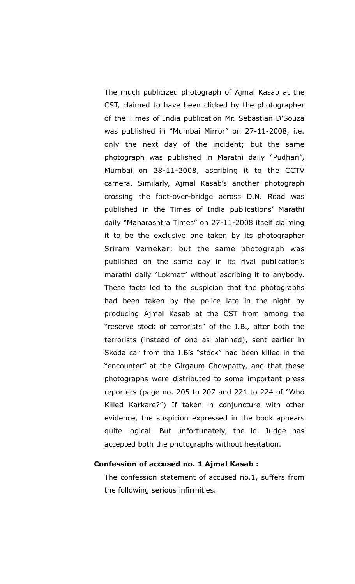The much publicized photograph of Ajmal Kasab at the CST, claimed to have been clicked by the photographer of the Times of India publication Mr. Sebastian D'Souza was published in "Mumbai Mirror" on 27-11-2008, i.e. only the next day of the incident; but the same photograph was published in Marathi daily "Pudhari", Mumbai on 28-11-2008, ascribing it to the CCTV camera. Similarly, Ajmal Kasab's another photograph crossing the foot-over-bridge across D.N. Road was published in the Times of India publications' Marathi daily "Maharashtra Times" on 27-11-2008 itself claiming it to be the exclusive one taken by its photographer Sriram Vernekar; but the same photograph was published on the same day in its rival publication's marathi daily "Lokmat" without ascribing it to anybody. These facts led to the suspicion that the photographs had been taken by the police late in the night by producing Ajmal Kasab at the CST from among the "reserve stock of terrorists" of the I.B., after both the terrorists (instead of one as planned), sent earlier in Skoda car from the I.B's "stock" had been killed in the "encounter" at the Girgaum Chowpatty, and that these photographs were distributed to some important press reporters (page no. 205 to 207 and 221 to 224 of "Who Killed Karkare?") If taken in conjuncture with other evidence, the suspicion expressed in the book appears quite logical. But unfortunately, the ld. Judge has accepted both the photographs without hesitation.

### **Confession of accused no. 1 Ajmal Kasab :**

The confession statement of accused no.1, suffers from the following serious infirmities.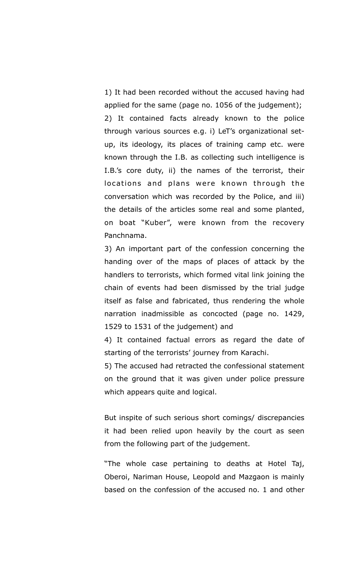1) It had been recorded without the accused having had applied for the same (page no. 1056 of the judgement); 2) It contained facts already known to the police through various sources e.g. i) LeT's organizational setup, its ideology, its places of training camp etc. were known through the I.B. as collecting such intelligence is I.B.'s core duty, ii) the names of the terrorist, their locations and plans were known through the conversation which was recorded by the Police, and iii) the details of the articles some real and some planted, on boat "Kuber", were known from the recovery Panchnama.

3) An important part of the confession concerning the handing over of the maps of places of attack by the handlers to terrorists, which formed vital link joining the chain of events had been dismissed by the trial judge itself as false and fabricated, thus rendering the whole narration inadmissible as concocted (page no. 1429, 1529 to 1531 of the judgement) and

4) It contained factual errors as regard the date of starting of the terrorists' journey from Karachi.

5) The accused had retracted the confessional statement on the ground that it was given under police pressure which appears quite and logical.

But inspite of such serious short comings/ discrepancies it had been relied upon heavily by the court as seen from the following part of the judgement.

"The whole case pertaining to deaths at Hotel Taj, Oberoi, Nariman House, Leopold and Mazgaon is mainly based on the confession of the accused no. 1 and other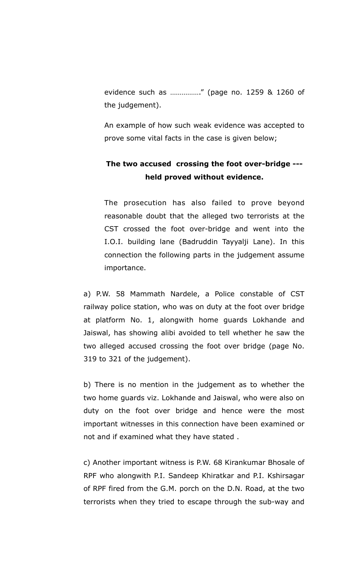evidence such as ……………." (page no. 1259 & 1260 of the judgement).

An example of how such weak evidence was accepted to prove some vital facts in the case is given below;

## **The two accused crossing the foot over-bridge -- held proved without evidence.**

The prosecution has also failed to prove beyond reasonable doubt that the alleged two terrorists at the CST crossed the foot over-bridge and went into the I.O.I. building lane (Badruddin Tayyalji Lane). In this connection the following parts in the judgement assume importance.

a) P.W. 58 Mammath Nardele, a Police constable of CST railway police station, who was on duty at the foot over bridge at platform No. 1, alongwith home guards Lokhande and Jaiswal, has showing alibi avoided to tell whether he saw the two alleged accused crossing the foot over bridge (page No. 319 to 321 of the judgement).

b) There is no mention in the judgement as to whether the two home guards viz. Lokhande and Jaiswal, who were also on duty on the foot over bridge and hence were the most important witnesses in this connection have been examined or not and if examined what they have stated .

c) Another important witness is P.W. 68 Kirankumar Bhosale of RPF who alongwith P.I. Sandeep Khiratkar and P.I. Kshirsagar of RPF fired from the G.M. porch on the D.N. Road, at the two terrorists when they tried to escape through the sub-way and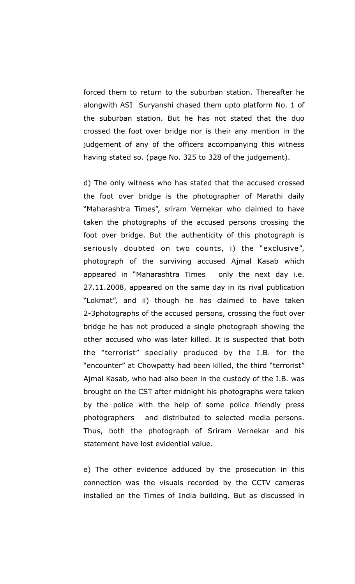forced them to return to the suburban station. Thereafter he alongwith ASI Suryanshi chased them upto platform No. 1 of the suburban station. But he has not stated that the duo crossed the foot over bridge nor is their any mention in the judgement of any of the officers accompanying this witness having stated so. (page No. 325 to 328 of the judgement).

d) The only witness who has stated that the accused crossed the foot over bridge is the photographer of Marathi daily "Maharashtra Times", sriram Vernekar who claimed to have taken the photographs of the accused persons crossing the foot over bridge. But the authenticity of this photograph is seriously doubted on two counts, i) the "exclusive", photograph of the surviving accused Ajmal Kasab which appeared in "Maharashtra Times only the next day i.e. 27.11.2008, appeared on the same day in its rival publication "Lokmat", and ii) though he has claimed to have taken 2-3photographs of the accused persons, crossing the foot over bridge he has not produced a single photograph showing the other accused who was later killed. It is suspected that both the "terrorist" specially produced by the I.B. for the "encounter" at Chowpatty had been killed, the third "terrorist" Ajmal Kasab, who had also been in the custody of the I.B. was brought on the CST after midnight his photographs were taken by the police with the help of some police friendly press photographers and distributed to selected media persons. Thus, both the photograph of Sriram Vernekar and his statement have lost evidential value.

e) The other evidence adduced by the prosecution in this connection was the visuals recorded by the CCTV cameras installed on the Times of India building. But as discussed in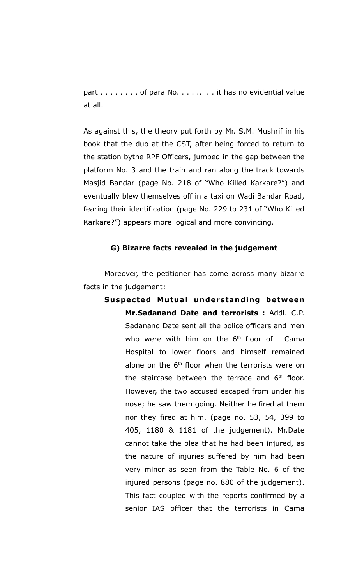part . . . . . . . . of para No. . . . . . . . it has no evidential value at all.

As against this, the theory put forth by Mr. S.M. Mushrif in his book that the duo at the CST, after being forced to return to the station bythe RPF Officers, jumped in the gap between the platform No. 3 and the train and ran along the track towards Masjid Bandar (page No. 218 of "Who Killed Karkare?") and eventually blew themselves off in a taxi on Wadi Bandar Road, fearing their identification (page No. 229 to 231 of "Who Killed Karkare?") appears more logical and more convincing.

#### **G) Bizarre facts revealed in the judgement**

Moreover, the petitioner has come across many bizarre facts in the judgement:

**Suspected Mutual understanding between Mr.Sadanand Date and terrorists :** Addl. C.P. Sadanand Date sent all the police officers and men who were with him on the  $6<sup>th</sup>$  floor of Cama Hospital to lower floors and himself remained alone on the  $6<sup>th</sup>$  floor when the terrorists were on the staircase between the terrace and  $6<sup>th</sup>$  floor. However, the two accused escaped from under his nose; he saw them going. Neither he fired at them nor they fired at him. (page no. 53, 54, 399 to 405, 1180 & 1181 of the judgement). Mr.Date cannot take the plea that he had been injured, as the nature of injuries suffered by him had been very minor as seen from the Table No. 6 of the injured persons (page no. 880 of the judgement). This fact coupled with the reports confirmed by a senior IAS officer that the terrorists in Cama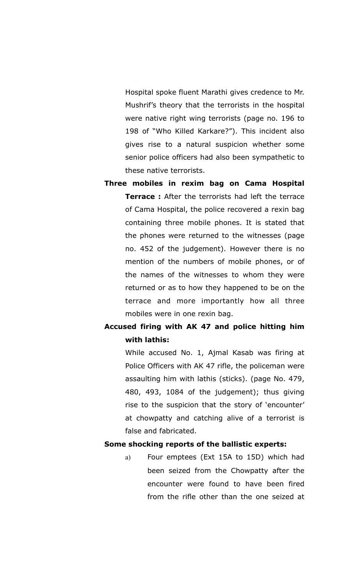Hospital spoke fluent Marathi gives credence to Mr. Mushrif's theory that the terrorists in the hospital were native right wing terrorists (page no. 196 to 198 of "Who Killed Karkare?"). This incident also gives rise to a natural suspicion whether some senior police officers had also been sympathetic to these native terrorists.

**Three mobiles in rexim bag on Cama Hospital Terrace :** After the terrorists had left the terrace of Cama Hospital, the police recovered a rexin bag containing three mobile phones. It is stated that the phones were returned to the witnesses (page no. 452 of the judgement). However there is no mention of the numbers of mobile phones, or of the names of the witnesses to whom they were returned or as to how they happened to be on the terrace and more importantly how all three mobiles were in one rexin bag.

## **Accused firing with AK 47 and police hitting him with lathis:**

While accused No. 1, Ajmal Kasab was firing at Police Officers with AK 47 rifle, the policeman were assaulting him with lathis (sticks). (page No. 479, 480, 493, 1084 of the judgement); thus giving rise to the suspicion that the story of 'encounter' at chowpatty and catching alive of a terrorist is false and fabricated.

### **Some shocking reports of the ballistic experts:**

a) Four emptees (Ext 15A to 15D) which had been seized from the Chowpatty after the encounter were found to have been fired from the rifle other than the one seized at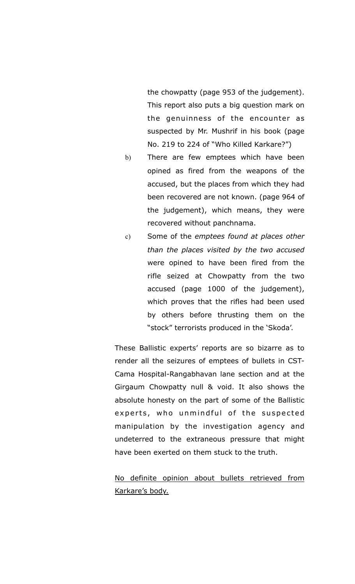the chowpatty (page 953 of the judgement). This report also puts a big question mark on the genuinness of the encounter as suspected by Mr. Mushrif in his book (page No. 219 to 224 of "Who Killed Karkare?")

- b) There are few emptees which have been opined as fired from the weapons of the accused, but the places from which they had been recovered are not known. (page 964 of the judgement), which means, they were recovered without panchnama.
- c) Some of the *emptees found at places other than the places visited by the two accused* were opined to have been fired from the rifle seized at Chowpatty from the two accused (page 1000 of the judgement), which proves that the rifles had been used by others before thrusting them on the "stock" terrorists produced in the 'Skoda'.

These Ballistic experts' reports are so bizarre as to render all the seizures of emptees of bullets in CST-Cama Hospital-Rangabhavan lane section and at the Girgaum Chowpatty null & void. It also shows the absolute honesty on the part of some of the Ballistic experts, who unmindful of the suspected manipulation by the investigation agency and undeterred to the extraneous pressure that might have been exerted on them stuck to the truth.

No definite opinion about bullets retrieved from Karkare's body.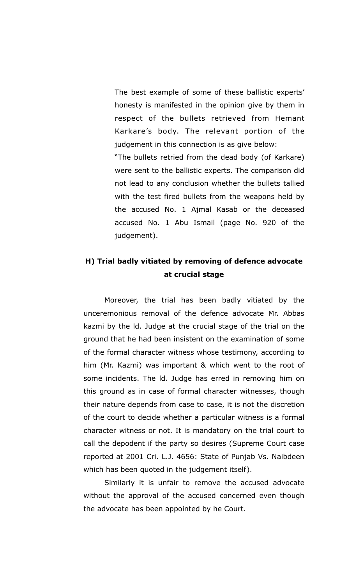The best example of some of these ballistic experts' honesty is manifested in the opinion give by them in respect of the bullets retrieved from Hemant Karkare's body. The relevant portion of the judgement in this connection is as give below:

"The bullets retried from the dead body (of Karkare) were sent to the ballistic experts. The comparison did not lead to any conclusion whether the bullets tallied with the test fired bullets from the weapons held by the accused No. 1 Ajmal Kasab or the deceased accused No. 1 Abu Ismail (page No. 920 of the judgement).

## **H) Trial badly vitiated by removing of defence advocate at crucial stage**

Moreover, the trial has been badly vitiated by the unceremonious removal of the defence advocate Mr. Abbas kazmi by the ld. Judge at the crucial stage of the trial on the ground that he had been insistent on the examination of some of the formal character witness whose testimony, according to him (Mr. Kazmi) was important & which went to the root of some incidents. The ld. Judge has erred in removing him on this ground as in case of formal character witnesses, though their nature depends from case to case, it is not the discretion of the court to decide whether a particular witness is a formal character witness or not. It is mandatory on the trial court to call the depodent if the party so desires (Supreme Court case reported at 2001 Cri. L.J. 4656: State of Punjab Vs. Naibdeen which has been quoted in the judgement itself).

Similarly it is unfair to remove the accused advocate without the approval of the accused concerned even though the advocate has been appointed by he Court.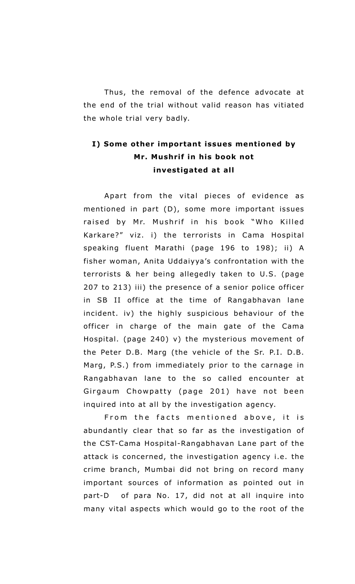Thus, the removal of the defence advocate at the end of the trial without valid reason has vitiated the whole trial very badly.

# **I) Some other important issues mentioned by Mr. Mushrif in his book not investigated at all**

Apart from the vital pieces of evidence as mentioned in part (D), some more important issues raised by Mr. Mushrif in his book "Who Killed Karkare?" viz. i) the terrorists in Cama Hospital speaking fluent Marathi (page 196 to 198); ii) A fisher woman, Anita Uddaiyya's confrontation with the terrorists & her being allegedly taken to U.S. (page 207 to 213) iii) the presence of a senior police officer in SB II office at the time of Rangabhavan lane incident. iv) the highly suspicious behaviour of the officer in charge of the main gate of the Cama Hospital. (page 240) v) the mysterious movement of the Peter D.B. Marg (the vehicle of the Sr. P.I. D.B. Marg, P.S.) from immediately prior to the carnage in Rangabhavan lane to the so called encounter at Girgaum Chowpatty (page 201) have not been inquired into at all by the investigation agency.

From the facts mentioned above, it is abundantly clear that so far as the investigation of the CST-Cama Hospital-Rangabhavan Lane part of the attack is concerned, the investigation agency i.e. the crime branch, Mumbai did not bring on record many important sources of information as pointed out in part-D of para No. 17, did not at all inquire into many vital aspects which would go to the root of the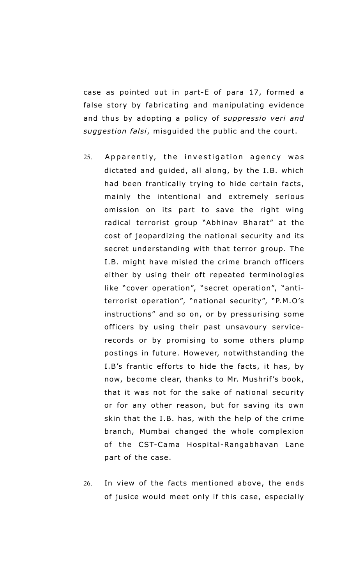case as pointed out in part-E of para 17, formed a false story by fabricating and manipulating evidence and thus by adopting a policy of *suppressio veri and suggestion falsi*, misguided the public and the court.

- 25. Apparently, the investigation agency was dictated and guided, all along, by the I.B. which had been frantically trying to hide certain facts, mainly the intentional and extremely serious omission on its part to save the right wing radical terrorist group "Abhinav Bharat" at the cost of jeopardizing the national security and its secret understanding with that terror group. The I.B. might have misled the crime branch officers either by using their oft repeated terminologies like "cover operation", "secret operation", "antiterrorist operation", "national security", "P.M.O's instructions" and so on, or by pressurising some officers by using their past unsavoury servicerecords or by promising to some others plump postings in future. However, notwithstanding the I.B's frantic efforts to hide the facts, it has, by now, become clear, thanks to Mr. Mushrif's book, that it was not for the sake of national security or for any other reason, but for saving its own skin that the I.B. has, with the help of the crime branch, Mumbai changed the whole complexion of the CST-Cama Hospital-Rangabhavan Lane part of the case.
- 26. In view of the facts mentioned above, the ends of jusice would meet only if this case, especially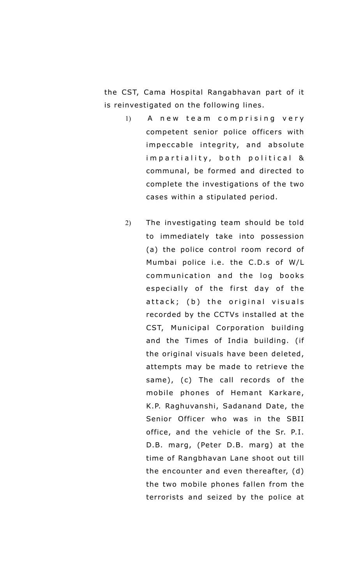the CST, Cama Hospital Rangabhavan part of it is reinvestigated on the following lines.

- 1) A new team comprising very competent senior police officers with impeccable integrity, and absolute im partiality, both political & communal, be formed and directed to complete the investigations of the two cases within a stipulated period.
- 2) The investigating team should be told to immediately take into possession (a) the police control room record of Mumbai police i.e. the C.D.s of W/L communication and the log books especially of the first day of the attack; (b) the original visuals recorded by the CCTVs installed at the CST, Municipal Corporation building and the Times of India building. (if the original visuals have been deleted, attempts may be made to retrieve the same), (c) The call records of the mobile phones of Hemant Karkare, K.P. Raghuvanshi, Sadanand Date, the Senior Officer who was in the SBII office, and the vehicle of the Sr. P.I. D.B. marg, (Peter D.B. marg) at the time of Rangbhavan Lane shoot out till the encounter and even thereafter, (d) the two mobile phones fallen from the terrorists and seized by the police at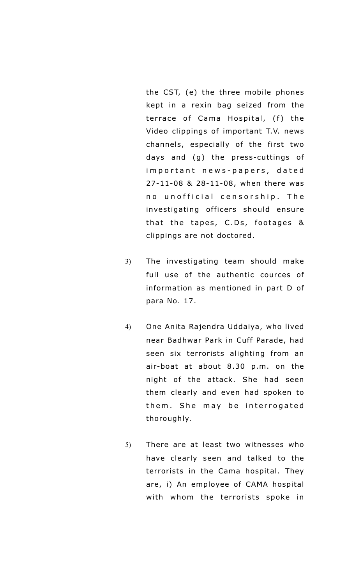the CST, (e) the three mobile phones kept in a rexin bag seized from the terrace of Cama Hospital, (f) the Video clippings of important T.V. news channels, especially of the first two days and (g) the press-cuttings of im p o r t a n t n e w s - p a p e r s, d a t e d 27-11-08 & 28-11-08, when there was no unofficial censorship. The investigating officers should ensure that the tapes,  $C.Ds$ , footages  $&$ clippings are not doctored.

- 3) The investigating team should make full use of the authentic cources of information as mentioned in part D of para No. 17.
- 4) One Anita Rajendra Uddaiya, who lived near Badhwar Park in Cuff Parade, had seen six terrorists alighting from an air-boat at about 8.30 p.m. on the night of the attack. She had seen them clearly and even had spoken to them. She may be interrogated thoroughly.
- 5) There are at least two witnesses who have clearly seen and talked to the terrorists in the Cama hospital. They are, i) An employee of CAMA hospital with whom the terrorists spoke in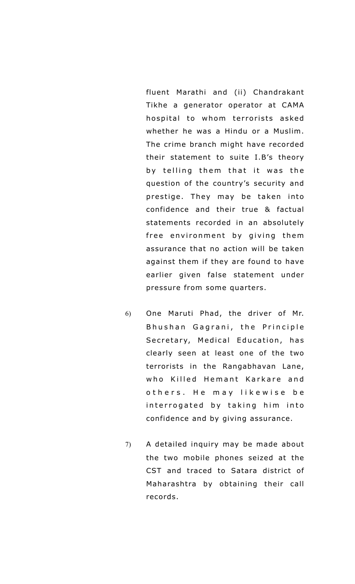fluent Marathi and (ii) Chandrakant Tikhe a generator operator at CAMA hospital to whom terrorists asked whether he was a Hindu or a Muslim. The crime branch might have recorded their statement to suite I.B's theory by telling them that it was the question of the country's security and prestige. They may be taken into confidence and their true & factual statements recorded in an absolutely free environment by giving them assurance that no action will be taken against them if they are found to have earlier given false statement under pressure from some quarters.

- 6) One Maruti Phad, the driver of Mr. Bhushan Gagrani, the Principle Secretary, Medical Education, has clearly seen at least one of the two terrorists in the Rangabhavan Lane, who Killed Hemant Karkare and o thers. He may likewise be interrogated by taking him into confidence and by giving assurance.
- 7) A detailed inquiry may be made about the two mobile phones seized at the CST and traced to Satara district of Maharashtra by obtaining their call records.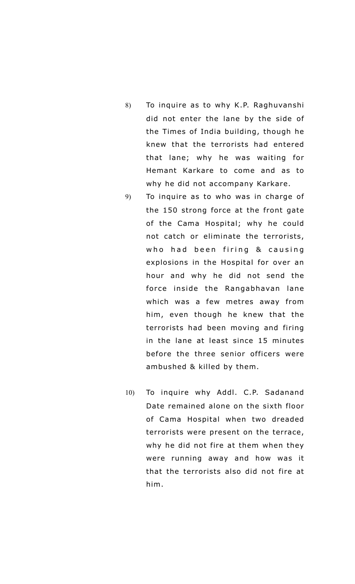- 8) To inquire as to why K.P. Raghuvanshi did not enter the lane by the side of the Times of India building, though he knew that the terrorists had entered that lane; why he was waiting for Hemant Karkare to come and as to why he did not accompany Karkare.
- 9) To inquire as to who was in charge of the 150 strong force at the front gate of the Cama Hospital; why he could not catch or eliminate the terrorists, who had been firing & causing explosions in the Hospital for over an hour and why he did not send the force inside the Rangabhavan lane which was a few metres away from him, even though he knew that the terrorists had been moving and firing in the lane at least since 15 minutes before the three senior officers were ambushed & killed by them.
- 10) To inquire why Addl. C.P. Sadanand Date remained alone on the sixth floor of Cama Hospital when two dreaded terrorists were present on the terrace, why he did not fire at them when they were running away and how was it that the terrorists also did not fire at him.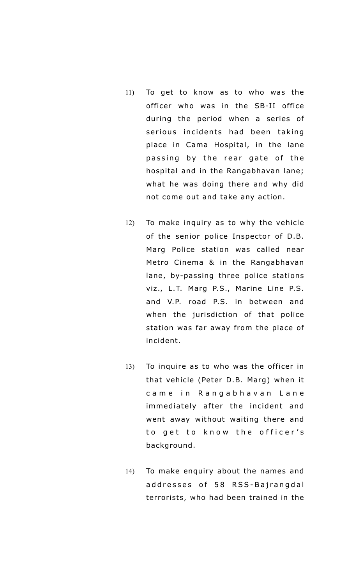- 11) To get to know as to who was the officer who was in the SB-II office during the period when a series of serious incidents had been taking place in Cama Hospital, in the lane passing by the rear gate of the hospital and in the Rangabhavan lane; what he was doing there and why did not come out and take any action.
- 12) To make inquiry as to why the vehicle of the senior police Inspector of D.B. Marg Police station was called near Metro Cinema & in the Rangabhavan lane, by-passing three police stations viz., L.T. Marg P.S., Marine Line P.S. and V.P. road P.S. in between and when the jurisdiction of that police station was far away from the place of incident.
- 13) To inquire as to who was the officer in that vehicle (Peter D.B. Marg) when it came in Rangabhavan Lane immediately after the incident and went away without waiting there and to get to know the officer's background.
- 14) To make enquiry about the names and addresses of 58 RSS-Bajrangdal terrorists, who had been trained in the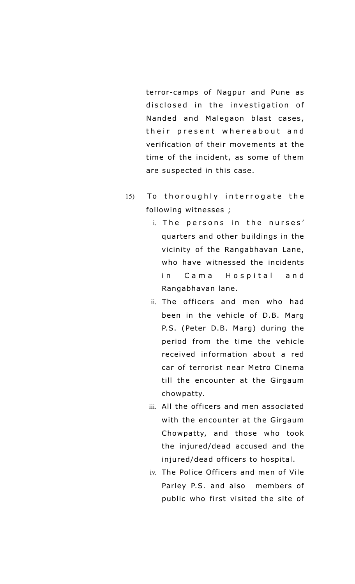terror-camps of Nagpur and Pune as disclosed in the investigation of Nanded and Malegaon blast cases, their present whereabout and verification of their movements at the time of the incident, as some of them are suspected in this case.

- 15) To thoroughly interrogate the following witnesses ;
	- i. The persons in the nurses' quarters and other buildings in the vicinity of the Rangabhavan Lane, who have witnessed the incidents in Cama Hospital and Rangabhavan lane.
	- ii. The officers and men who had been in the vehicle of D.B. Marg P.S. (Peter D.B. Marg) during the period from the time the vehicle received information about a red car of terrorist near Metro Cinema till the encounter at the Girgaum chowpatty.
	- iii. All the officers and men associated with the encounter at the Girgaum Chowpatty, and those who took the injured/dead accused and the injured/dead officers to hospital.
	- iv. The Police Officers and men of Vile Parley P.S. and also members of public who first visited the site of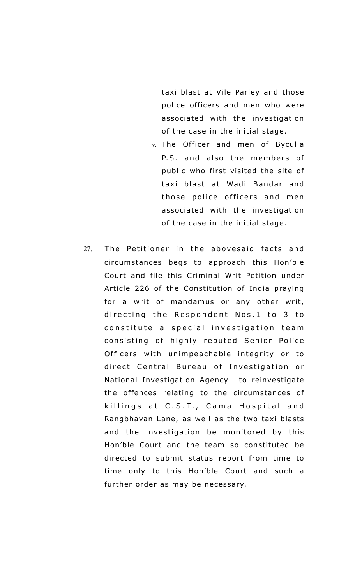taxi blast at Vile Parley and those police officers and men who were associated with the investigation of the case in the initial stage.

- v. The Officer and men of Byculla P.S. and also the members of public who first visited the site of taxi blast at Wadi Bandar and those police officers and men associated with the investigation of the case in the initial stage.
- 27. The Petitioner in the abovesaid facts and circumstances begs to approach this Hon'ble Court and file this Criminal Writ Petition under Article 226 of the Constitution of India praying for a writ of mandamus or any other writ, directing the Respondent Nos.1 to 3 to constitute a special investigation team consisting of highly reputed Senior Police Officers with unimpeachable integrity or to direct Central Bureau of Investigation or National Investigation Agency to reinvestigate the offences relating to the circumstances of killings at C.S.T., Cama Hospital and Rangbhavan Lane, as well as the two taxi blasts and the investigation be monitored by this Hon'ble Court and the team so constituted be directed to submit status report from time to time only to this Hon'ble Court and such a further order as may be necessary.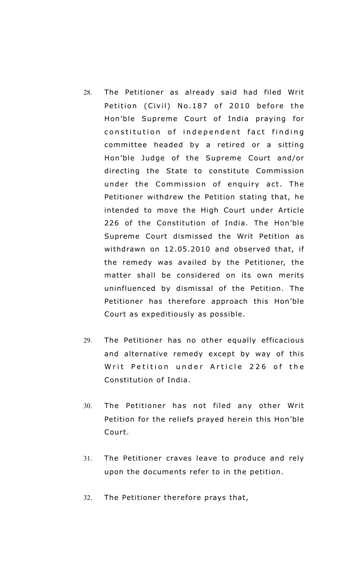- 28. The Petitioner as already said had filed Writ Petition (Civil) No.187 of 2010 before the Hon'ble Supreme Court of India praying for constitution of independent fact finding committee headed by a retired or a sitting Hon'ble Judge of the Supreme Court and/or directing the State to constitute Commission under the Commission of enquiry act. The Petitioner withdrew the Petition stating that, he intended to move the High Court under Article 226 of the Constitution of India. The Hon'ble Supreme Court dismissed the Writ Petition as withdrawn on 12.05.2010 and observed that, if the remedy was availed by the Petitioner, the matter shall be considered on its own merits uninfluenced by dismissal of the Petition. The Petitioner has therefore approach this Hon'ble Court as expeditiously as possible.
- 29. The Petitioner has no other equally efficacious and alternative remedy except by way of this Writ Petition under Article 226 of the Constitution of India.
- 30. The Petitioner has not filed any other Writ Petition for the reliefs prayed herein this Hon'ble Court.
- 31. The Petitioner craves leave to produce and rely upon the documents refer to in the petition.
- 32. The Petitioner therefore prays that,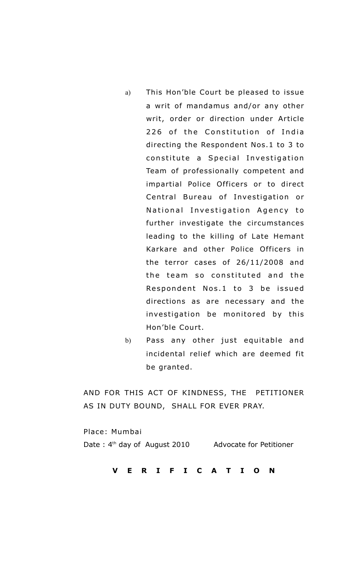- a) This Hon'ble Court be pleased to issue a writ of mandamus and/or any other writ, order or direction under Article 226 of the Constitution of India directing the Respondent Nos.1 to 3 to constitute a Special Investigation Team of professionally competent and impartial Police Officers or to direct Central Bureau of Investigation or National Investigation Agency to further investigate the circumstances leading to the killing of Late Hemant Karkare and other Police Officers in the terror cases of 26/11/2008 and the team so constituted and the Respondent Nos.1 to 3 be issued directions as are necessary and the investigation be monitored by this Hon'ble Court.
- b) Pass any other just equitable and incidental relief which are deemed fit be granted.

AND FOR THIS ACT OF KINDNESS, THE PETITIONER AS IN DUTY BOUND, SHALL FOR EVER PRAY.

Place: Mumbai Date : 4<sup>th</sup> day of August 2010 Advocate for Petitioner

**V E R I F I C A T I O N**